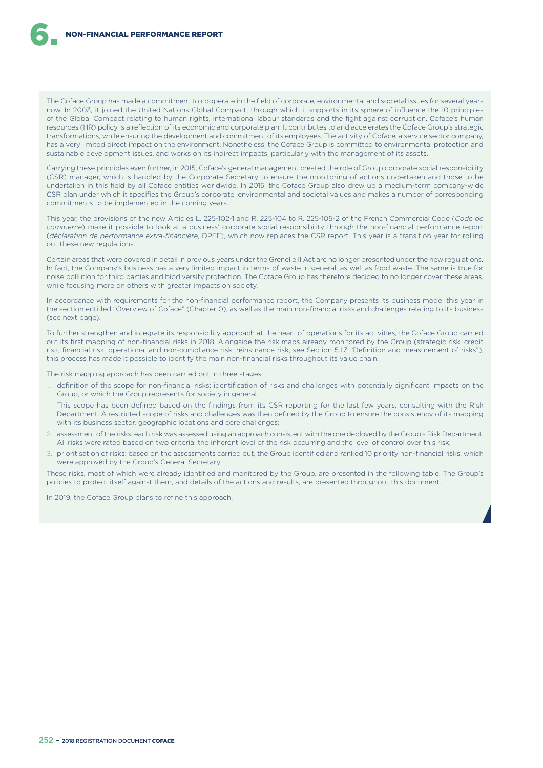The Coface Group has made a commitment to cooperate in the field of corporate, environmental and societal issues for several years now. In 2003, it joined the United Nations Global Compact, through which it supports in its sphere of influence the 10 principles of the Global Compact relating to human rights, international labour standards and the fight against corruption. Coface's human resources (HR) policy is a reflection of its economic and corporate plan. It contributes to and accelerates the Coface Group's strategic transformations, while ensuring the development and commitment of its employees. The activity of Coface, a service sector company, has a very limited direct impact on the environment. Nonetheless, the Coface Group is committed to environmental protection and sustainable development issues, and works on its indirect impacts, particularly with the management of its assets.

Carrying these principles even further, in 2015, Coface's general management created the role of Group corporate social responsibility (CSR) manager, which is handled by the Corporate Secretary to ensure the monitoring of actions undertaken and those to be undertaken in this field by all Coface entities worldwide. In 2015, the Coface Group also drew up a medium-term company-wide CSR plan under which it specifies the Group's corporate, environmental and societal values and makes a number of corresponding commitments to be implemented in the coming years.

This year, the provisions of the new Articles L. 225-102-1 and R. 225-104 to R. 225-105-2 of the French Commercial Code (*Code de commerce*) make it possible to look at a business' corporate social responsibility through the non-financial performance report (*déclaration de performance extra-financière*, DPEF), which now replaces the CSR report. This year is a transition year for rolling out these new regulations.

Certain areas that were covered in detail in previous years under the Grenelle II Act are no longer presented under the new regulations. In fact, the Company's business has a very limited impact in terms of waste in general, as well as food waste. The same is true for noise pollution for third parties and biodiversity protection. The Coface Group has therefore decided to no longer cover these areas, while focusing more on others with greater impacts on society.

In accordance with requirements for the non-financial performance report, the Company presents its business model this year in the section entitled "Overview of Coface" (Chapter 0), as well as the main non-financial risks and challenges relating to its business (see next page).

To further strengthen and integrate its responsibility approach at the heart of operations for its activities, the Coface Group carried out its first mapping of non-financial risks in 2018. Alongside the risk maps already monitored by the Group (strategic risk, credit risk, financial risk, operational and non-compliance risk, reinsurance risk, see Section 5.1.3 "Definition and measurement of risks"), this process has made it possible to identify the main non-financial risks throughout its value chain.

The risk mapping approach has been carried out in three stages:

- 1. definition of the scope for non-financial risks: identification of risks and challenges with potentially significant impacts on the Group, or which the Group represents for society in general.
- This scope has been defined based on the findings from its CSR reporting for the last few years, consulting with the Risk Department. A restricted scope of risks and challenges was then defined by the Group to ensure the consistency of its mapping with its business sector, geographic locations and core challenges;
- 2. assessment of the risks: each risk was assessed using an approach consistent with the one deployed by the Group's Risk Department. All risks were rated based on two criteria: the inherent level of the risk occurring and the level of control over this risk;
- 3. prioritisation of risks: based on the assessments carried out, the Group identified and ranked 10 priority non-financial risks, which were approved by the Group's General Secretary.

These risks, most of which were already identified and monitored by the Group, are presented in the following table. The Group's policies to protect itself against them, and details of the actions and results, are presented throughout this document.

In 2019, the Coface Group plans to refine this approach.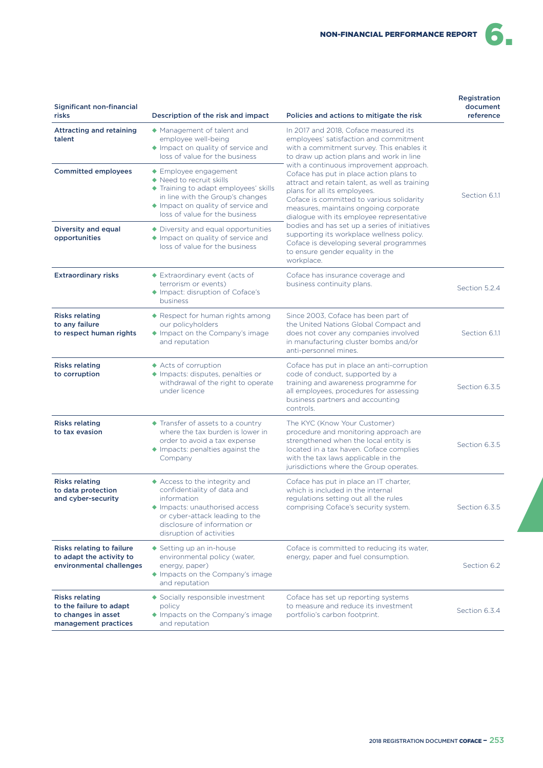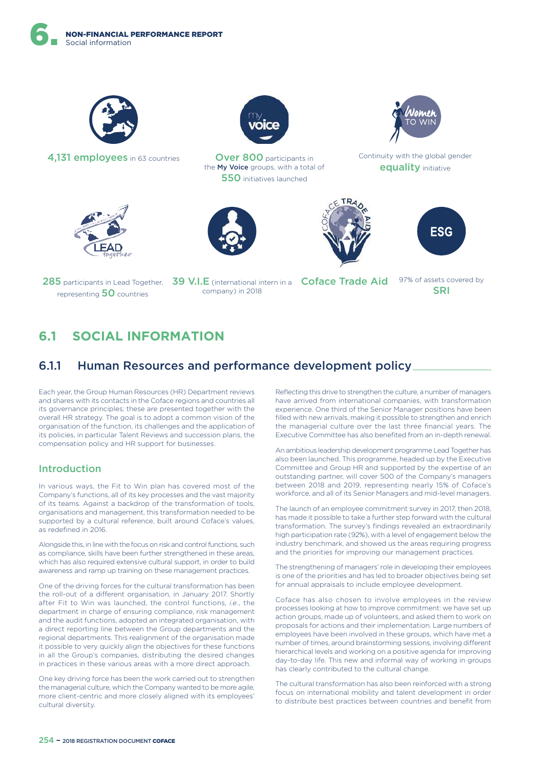

4,131 employees in 63 countries **Over 800** participants in

the **My Voice** groups, with a total of 550 initiatives launched



Continuity with the global gender equality initiative







285 participants in Lead Together, representing 50 countries

39 V.I.E (international intern in a Coface Trade Aid 97% of assets covered by company) in 2018

**SRI** 

# **6.1 SOCIAL INFORMATION**

# 6.1.1 Human Resources and performance development policy

Each year, the Group Human Resources (HR) Department reviews and shares with its contacts in the Coface regions and countries all its governance principles; these are presented together with the overall HR strategy. The goal is to adopt a common vision of the organisation of the function, its challenges and the application of its policies, in particular Talent Reviews and succession plans, the compensation policy and HR support for businesses.

## Introduction

In various ways, the Fit to Win plan has covered most of the Company's functions, all of its key processes and the vast majority of its teams. Against a backdrop of the transformation of tools, organisations and management, this transformation needed to be supported by a cultural reference, built around Coface's values, as redefined in 2016.

Alongside this, in line with the focus on risk and control functions, such as compliance, skills have been further strengthened in these areas, which has also required extensive cultural support, in order to build awareness and ramp up training on these management practices.

One of the driving forces for the cultural transformation has been the roll-out of a diferent organisation, in January 2017. Shortly after Fit to Win was launched, the control functions, *i.e*., the department in charge of ensuring compliance, risk management and the audit functions, adopted an integrated organisation, with a direct reporting line between the Group departments and the regional departments. This realignment of the organisation made it possible to very quickly align the objectives for these functions in all the Group's companies, distributing the desired changes in practices in these various areas with a more direct approach.

One key driving force has been the work carried out to strengthen the managerial culture, which the Company wanted to be more agile, more client-centric and more closely aligned with its employees' cultural diversity.

Reflecting this drive to strengthen the culture, a number of managers have arrived from international companies, with transformation experience. One third of the Senior Manager positions have been filled with new arrivals, making it possible to strengthen and enrich the managerial culture over the last three financial years. The Executive Committee has also benefited from an in-depth renewal.

An ambitious leadership development programme Lead Together has also been launched. This programme, headed up by the Executive Committee and Group HR and supported by the expertise of an outstanding partner, will cover 500 of the Company's managers between 2018 and 2019, representing nearly 15% of Coface's workforce, and all of its Senior Managers and mid-level managers.

The launch of an employee commitment survey in 2017, then 2018, has made it possible to take a further step forward with the cultural transformation. The survey's findings revealed an extraordinarily high participation rate (92%), with a level of engagement below the industry benchmark, and showed us the areas requiring progress and the priorities for improving our management practices.

The strengthening of managers' role in developing their employees is one of the priorities and has led to broader objectives being set for annual appraisals to include employee development.

Coface has also chosen to involve employees in the review processes looking at how to improve commitment: we have set up action groups, made up of volunteers, and asked them to work on proposals for actions and their implementation. Large numbers of employees have been involved in these groups, which have met a number of times, around brainstorming sessions, involving diferent hierarchical levels and working on a positive agenda for improving day-to-day life. This new and informal way of working in groups has clearly contributed to the cultural change.

The cultural transformation has also been reinforced with a strong focus on international mobility and talent development in order to distribute best practices between countries and benefit from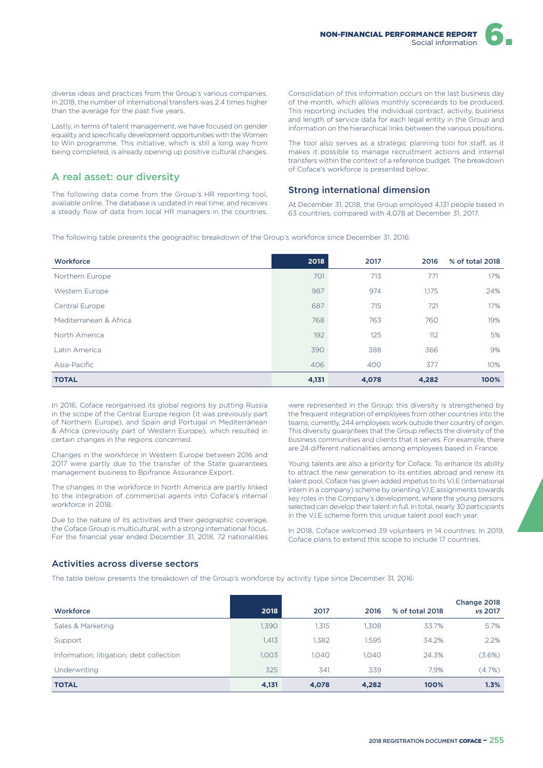

diverse ideas and practices from the Group's various companies. In 2018, the number of international transfers was 2.4 times higher than the average for the past five years.

Lastly, in terms of talent management, we have focused on gender equality and specifically development opportunities with the Women to Win programme. This initiative, which is still a long way from being completed, is already opening up positive cultural changes.

## A real asset: our diversity

The following data come from the Group's HR reporting tool, available online. The database is updated in real time, and receives a steady flow of data from local HR managers in the countries. Consolidation of this information occurs on the last business day of the month, which allows monthly scorecards to be produced. This reporting includes the individual contract, activity, business and length of service data for each legal entity in the Group and information on the hierarchical links between the various positions.

The tool also serves as a strategic planning tool for staff, as it makes it possible to manage recruitment actions and internal transfers within the context of a reference budget. The breakdown of Coface's workforce is presented below:

#### Strong international dimension

At December 31, 2018, the Group employed 4,131 people based in 63 countries, compared with 4,078 at December 31, 2017.

The following table presents the geographic breakdown of the Group's workforce since December 31, 2016:

| Workforce              | 2018  | 2017  | 2016  | % of total 2018 |
|------------------------|-------|-------|-------|-----------------|
| Northern Europe        | 701   | 713   | 771   | 17%             |
| Western Europe         | 987   | 974   | 1,175 | 24%             |
| Central Europe         | 687   | 715   | 721   | 17%             |
| Mediterranean & Africa | 768   | 763   | 760   | 19%             |
| North America          | 192   | 125   | 112   | 5%              |
| Latin America          | 390   | 388   | 366   | 9%              |
| Asia-Pacific           | 406   | 400   | 377   | 10%             |
| <b>TOTAL</b>           | 4,131 | 4,078 | 4,282 | 100%            |

In 2016, Coface reorganised its global regions by putting Russia in the scope of the Central Europe region (it was previously part of Northern Europe), and Spain and Portugal in Mediterranean & Africa (previously part of Western Europe), which resulted in certain changes in the regions concerned.

Changes in the workforce in Western Europe between 2016 and 2017 were partly due to the transfer of the State guarantees management business to Bpifrance Assurance Export.

The changes in the workforce in North America are partly linked to the integration of commercial agents into Coface's internal workforce in 2018.

Due to the nature of its activities and their geographic coverage, the Coface Group is multicultural, with a strong international focus. For the financial year ended December 31, 2018, 72 nationalities were represented in the Group; this diversity is strengthened by the frequent integration of employees from other countries into the teams; currently, 244 employees work outside their country of origin. This diversity guarantees that the Group reflects the diversity of the business communities and clients that it serves. For example, there are 24 diferent nationalities among employees based in France.

Young talents are also a priority for Coface. To enhance its ability to attract the new generation to its entities abroad and renew its talent pool, Coface has given added impetus to its V.I.E (international intern in a company) scheme by orienting V.I.E assignments towards key roles in the Company's development, where the young persons selected can develop their talent in full. In total, nearly 30 participants in the V.I.E scheme form this unique talent pool each year.

In 2018, Coface welcomed 39 volunteers in 14 countries. In 2019, Coface plans to extend this scope to include 17 countries.

### Activities across diverse sectors

The table below presents the breakdown of the Group's workforce by activity type since December 31, 2016:

| Workforce                                | 2018  | 2017  | 2016  | % of total 2018 | Change 2018<br>vs 2017 |
|------------------------------------------|-------|-------|-------|-----------------|------------------------|
| Sales & Marketing                        | 1,390 | 1.315 | 1,308 | 33.7%           | 5.7%                   |
| Support                                  | 1.413 | 1.382 | 1.595 | 34.2%           | 2.2%                   |
| Information, litigation, debt collection | 1.003 | 1.040 | 1.040 | 24.3%           | (3.6%)                 |
| Underwriting                             | 325   | 341   | 339   | 7.9%            | $(4.7\%)$              |
| <b>TOTAL</b>                             | 4,131 | 4,078 | 4,282 | 100%            | 1.3%                   |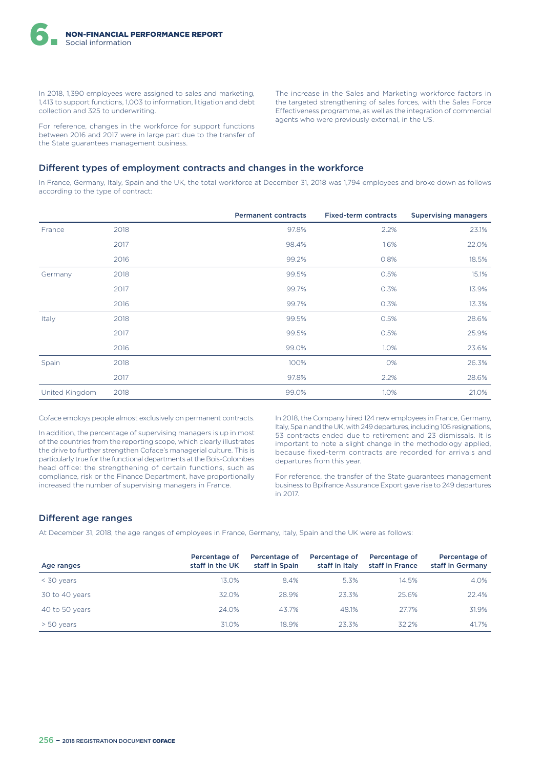In 2018, 1,390 employees were assigned to sales and marketing, 1,413 to support functions, 1,003 to information, litigation and debt collection and 325 to underwriting.

For reference, changes in the workforce for support functions between 2016 and 2017 were in large part due to the transfer of the State guarantees management business.

The increase in the Sales and Marketing workforce factors in the targeted strengthening of sales forces, with the Sales Force Efectiveness programme, as well as the integration of commercial agents who were previously external, in the US.

#### Different types of employment contracts and changes in the workforce

In France, Germany, Italy, Spain and the UK, the total workforce at December 31, 2018 was 1,794 employees and broke down as follows according to the type of contract:

|                |      | <b>Permanent contracts</b> | <b>Fixed-term contracts</b> | <b>Supervising managers</b> |
|----------------|------|----------------------------|-----------------------------|-----------------------------|
| France         | 2018 | 97.8%                      | 2.2%                        | 23.1%                       |
|                | 2017 | 98.4%                      | 1.6%                        | 22.0%                       |
|                | 2016 | 99.2%                      | 0.8%                        | 18.5%                       |
| Germany        | 2018 | 99.5%                      | 0.5%                        | 15.1%                       |
|                | 2017 | 99.7%                      | 0.3%                        | 13.9%                       |
|                | 2016 | 99.7%                      | 0.3%                        | 13.3%                       |
| Italy          | 2018 | 99.5%                      | 0.5%                        | 28.6%                       |
|                | 2017 | 99.5%                      | 0.5%                        | 25.9%                       |
|                | 2016 | 99.0%                      | 1.0%                        | 23.6%                       |
| Spain          | 2018 | 100%                       | 0%                          | 26.3%                       |
|                | 2017 | 97.8%                      | 2.2%                        | 28.6%                       |
| United Kingdom | 2018 | 99.0%                      | 1.0%                        | 21.0%                       |

Coface employs people almost exclusively on permanent contracts.

In addition, the percentage of supervising managers is up in most of the countries from the reporting scope, which clearly illustrates the drive to further strengthen Coface's managerial culture. This is particularly true for the functional departments at the Bois-Colombes head office: the strengthening of certain functions, such as compliance, risk or the Finance Department, have proportionally increased the number of supervising managers in France.

In 2018, the Company hired 124 new employees in France, Germany, Italy, Spain and the UK, with 249 departures, including 105 resignations, 53 contracts ended due to retirement and 23 dismissals. It is important to note a slight change in the methodology applied, because fixed-term contracts are recorded for arrivals and departures from this year.

For reference, the transfer of the State guarantees management business to Bpifrance Assurance Export gave rise to 249 departures in 2017.

### Different age ranges

At December 31, 2018, the age ranges of employees in France, Germany, Italy, Spain and the UK were as follows:

| Age ranges     | Percentage of<br>staff in the UK | Percentage of<br>staff in Spain | Percentage of<br>staff in Italy | Percentage of<br>staff in France | Percentage of<br>staff in Germany |
|----------------|----------------------------------|---------------------------------|---------------------------------|----------------------------------|-----------------------------------|
| $<$ 30 years   | $13.0\%$                         | 8.4%                            | 5.3%                            | 14.5%                            | 4.0%                              |
| 30 to 40 years | 32.0%                            | 28.9%                           | 23.3%                           | 25.6%                            | 22.4%                             |
| 40 to 50 years | 24.0%                            | 43.7%                           | 48.1%                           | 27.7%                            | 31.9%                             |
| $> 50$ years   | 31.0%                            | 18.9%                           | 23.3%                           | 32.2%                            | 41.7%                             |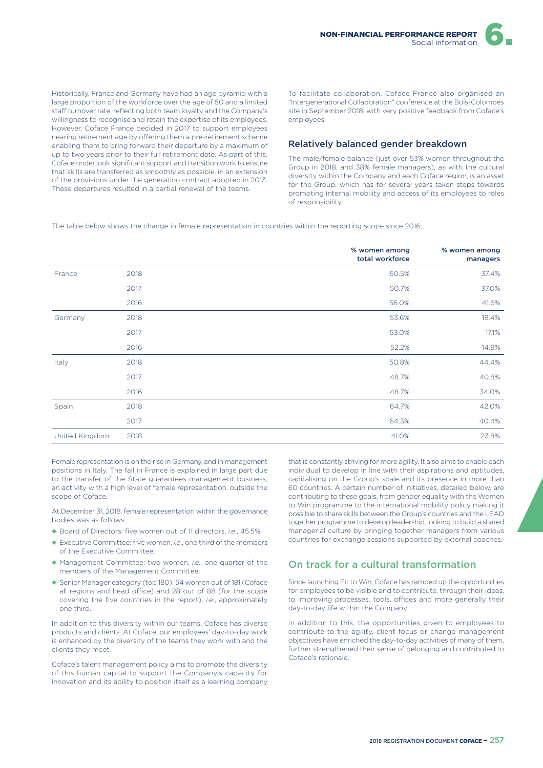Historically, France and Germany have had an age pyramid with a large proportion of the workforce over the age of 50 and a limited staff turnover rate, reflecting both team loyalty and the Company's willingness to recognise and retain the expertise of its employees. However, Coface France decided in 2017 to support employees nearing retirement age by offering them a pre-retirement scheme enabling them to bring forward their departure by a maximum of up to two years prior to their full retirement date. As part of this, Coface undertook significant support and transition work to ensure that skills are transferred as smoothly as possible, in an extension of the provisions under the generation contract adopted in 2013. These departures resulted in a partial renewal of the teams.

To facilitate collaboration, Coface France also organised an "Intergenerational Collaboration" conference at the Bois-Colombes site in September 2018, with very positive feedback from Coface's employees.

#### Relatively balanced gender breakdown

The male/female balance (just over 53% women throughout the Group in 2018, and 38% female managers), as with the cultural diversity within the Company and each Coface region, is an asset for the Group, which has for several years taken steps towards promoting internal mobility and access of its employees to roles of responsibility.

The table below shows the change in female representation in countries within the reporting scope since 2016:

|                |      | % women among<br>total workforce | % women among<br>managers |
|----------------|------|----------------------------------|---------------------------|
| France         | 2018 | 50.5%                            | 37.4%                     |
|                | 2017 | 50.7%                            | 37.0%                     |
|                | 2016 | 56.0%                            | 41.6%                     |
| Germany        | 2018 | 53.6%                            | 18.4%                     |
|                | 2017 | 53.0%                            | 17.1%                     |
|                | 2016 | 52.2%                            | 14.9%                     |
| Italy          | 2018 | 50.8%                            | 44.4%                     |
|                | 2017 | 48.7%                            | 40.8%                     |
|                | 2016 | 48.7%                            | 34.0%                     |
| Spain          | 2018 | 64.7%                            | 42.0%                     |
|                | 2017 | 64.3%                            | 40.4%                     |
| United Kingdom | 2018 | 41.0%                            | 23.8%                     |

Female representation is on the rise in Germany, and in management positions in Italy. The fall in France is explained in large part due to the transfer of the State guarantees management business, an activity with a high level of female representation, outside the scope of Coface.

At December 31, 2018, female representation within the governance bodies was as follows:

- ◆ Board of Directors: five women out of 11 directors, *i.e*., 45.5%;
- ◆ Executive Committee: five women, *i.e*., one third of the members of the Executive Committee;
- ◆ Management Committee: two women, *i.e*., one quarter of the members of the Management Committee;
- ◆ Senior Manager category (top 180): 54 women out of 181 (Coface all regions and head office) and 28 out of 88 (for the scope covering the five countries in the report), *i.e*., approximately one third.

In addition to this diversity within our teams, Coface has diverse products and clients. At Coface, our employees' day-to-day work is enhanced by the diversity of the teams they work with and the clients they meet.

Coface's talent management policy aims to promote the diversity of this human capital to support the Company's capacity for innovation and its ability to position itself as a learning company

that is constantly striving for more agility. It also aims to enable each individual to develop in line with their aspirations and aptitudes, capitalising on the Group's scale and its presence in more than 60 countries. A certain number of initiatives, detailed below, are contributing to these goals, from gender equality with the Women to Win programme to the international mobility policy making it possible to share skills between the Group's countries and the LEAD together programme to develop leadership, looking to build a shared managerial culture by bringing together managers from various countries for exchange sessions supported by external coaches.

## On track for a cultural transformation

Since launching Fit to Win, Coface has ramped up the opportunities for employees to be visible and to contribute, through their ideas, to improving processes, tools, offices and more generally their day-to-day life within the Company.

In addition to this, the opportunities given to employees to contribute to the agility, client focus or change management objectives have enriched the day-to-day activities of many of them, further strengthened their sense of belonging and contributed to Coface's rationale.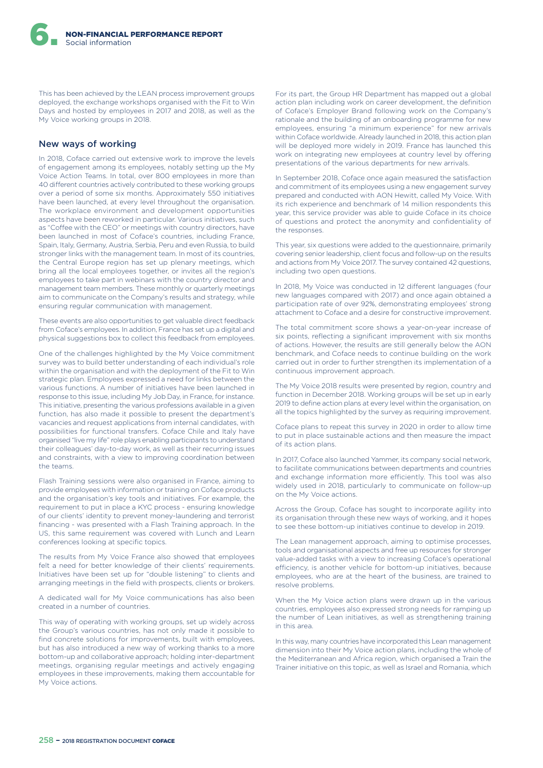This has been achieved by the LEAN process improvement groups deployed, the exchange workshops organised with the Fit to Win Days and hosted by employees in 2017 and 2018, as well as the My Voice working groups in 2018.

#### New ways of working

In 2018, Coface carried out extensive work to improve the levels of engagement among its employees, notably setting up the My Voice Action Teams. In total, over 800 employees in more than 40 diferent countries actively contributed to these working groups over a period of some six months. Approximately 550 initiatives have been launched, at every level throughout the organisation. The workplace environment and development opportunities aspects have been reworked in particular. Various initiatives, such as "Coffee with the CEO" or meetings with country directors, have been launched in most of Coface's countries, including France, Spain, Italy, Germany, Austria, Serbia, Peru and even Russia, to build stronger links with the management team. In most of its countries, the Central Europe region has set up plenary meetings, which bring all the local employees together, or invites all the region's employees to take part in webinars with the country director and management team members. These monthly or quarterly meetings aim to communicate on the Company's results and strategy, while ensuring regular communication with management.

These events are also opportunities to get valuable direct feedback from Coface's employees. In addition, France has set up a digital and physical suggestions box to collect this feedback from employees.

One of the challenges highlighted by the My Voice commitment survey was to build better understanding of each individual's role within the organisation and with the deployment of the Fit to Win strategic plan. Employees expressed a need for links between the various functions. A number of initiatives have been launched in response to this issue, including My Job Day, in France, for instance. This initiative, presenting the various professions available in a given function, has also made it possible to present the department's vacancies and request applications from internal candidates, with possibilities for functional transfers. Coface Chile and Italy have organised "live my life" role plays enabling participants to understand their colleagues' day-to-day work, as well as their recurring issues and constraints, with a view to improving coordination between the teams.

Flash Training sessions were also organised in France, aiming to provide employees with information or training on Coface products and the organisation's key tools and initiatives. For example, the requirement to put in place a KYC process - ensuring knowledge of our clients' identity to prevent money-laundering and terrorist financing - was presented with a Flash Training approach. In the US, this same requirement was covered with Lunch and Learn conferences looking at specific topics.

The results from My Voice France also showed that employees felt a need for better knowledge of their clients' requirements. Initiatives have been set up for "double listening" to clients and arranging meetings in the field with prospects, clients or brokers.

A dedicated wall for My Voice communications has also been created in a number of countries.

This way of operating with working groups, set up widely across the Group's various countries, has not only made it possible to find concrete solutions for improvements, built with employees, but has also introduced a new way of working thanks to a more bottom-up and collaborative approach; holding inter-department meetings, organising regular meetings and actively engaging employees in these improvements, making them accountable for My Voice actions.

For its part, the Group HR Department has mapped out a global action plan including work on career development, the definition of Coface's Employer Brand following work on the Company's rationale and the building of an onboarding programme for new employees, ensuring "a minimum experience" for new arrivals within Coface worldwide. Already launched in 2018, this action plan will be deployed more widely in 2019. France has launched this work on integrating new employees at country level by offering presentations of the various departments for new arrivals.

In September 2018, Coface once again measured the satisfaction and commitment of its employees using a new engagement survey prepared and conducted with AON Hewitt, called My Voice. With its rich experience and benchmark of 14 million respondents this year, this service provider was able to guide Coface in its choice of questions and protect the anonymity and confidentiality of the responses.

This year, six questions were added to the questionnaire, primarily covering senior leadership, client focus and follow-up on the results and actions from My Voice 2017. The survey contained 42 questions, including two open questions.

In 2018, My Voice was conducted in 12 diferent languages (four new languages compared with 2017) and once again obtained a participation rate of over 92%, demonstrating employees' strong attachment to Coface and a desire for constructive improvement.

The total commitment score shows a year-on-year increase of six points, reflecting a significant improvement with six months of actions. However, the results are still generally below the AON benchmark, and Coface needs to continue building on the work carried out in order to further strengthen its implementation of a continuous improvement approach.

The My Voice 2018 results were presented by region, country and function in December 2018. Working groups will be set up in early 2019 to define action plans at every level within the organisation, on all the topics highlighted by the survey as requiring improvement.

Coface plans to repeat this survey in 2020 in order to allow time to put in place sustainable actions and then measure the impact of its action plans.

In 2017, Coface also launched Yammer, its company social network, to facilitate communications between departments and countries and exchange information more efficiently. This tool was also widely used in 2018, particularly to communicate on follow-up on the My Voice actions.

Across the Group, Coface has sought to incorporate agility into its organisation through these new ways of working, and it hopes to see these bottom-up initiatives continue to develop in 2019.

The Lean management approach, aiming to optimise processes, tools and organisational aspects and free up resources for stronger value-added tasks with a view to increasing Coface's operational efficiency, is another vehicle for bottom-up initiatives, because employees, who are at the heart of the business, are trained to resolve problems.

When the My Voice action plans were drawn up in the various countries, employees also expressed strong needs for ramping up the number of Lean initiatives, as well as strengthening training in this area.

In this way, many countries have incorporated this Lean management dimension into their My Voice action plans, including the whole of the Mediterranean and Africa region, which organised a Train the Trainer initiative on this topic, as well as Israel and Romania, which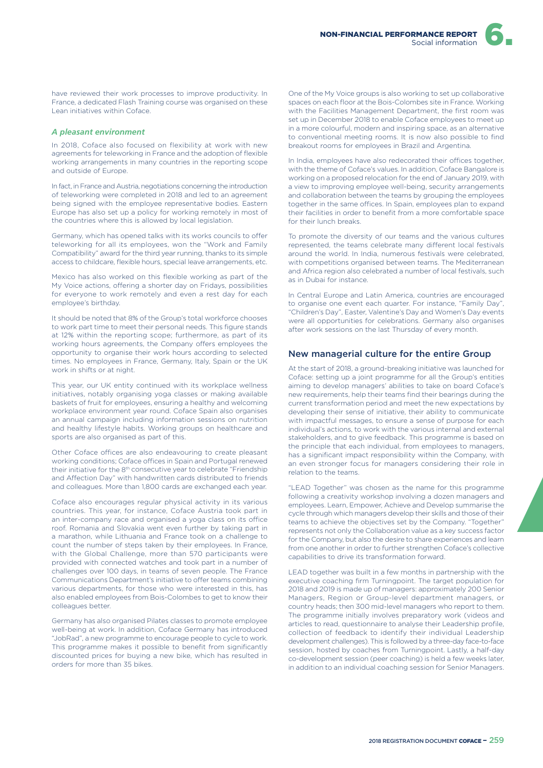have reviewed their work processes to improve productivity. In France, a dedicated Flash Training course was organised on these Lean initiatives within Coface.

#### *A pleasant environment*

In 2018, Coface also focused on flexibility at work with new agreements for teleworking in France and the adoption of flexible working arrangements in many countries in the reporting scope and outside of Europe.

In fact, in France and Austria, negotiations concerning the introduction of teleworking were completed in 2018 and led to an agreement being signed with the employee representative bodies. Eastern Europe has also set up a policy for working remotely in most of the countries where this is allowed by local legislation.

Germany, which has opened talks with its works councils to ofer teleworking for all its employees, won the "Work and Family Compatibility" award for the third year running, thanks to its simple access to childcare, flexible hours, special leave arrangements, etc.

Mexico has also worked on this flexible working as part of the My Voice actions, offering a shorter day on Fridays, possibilities for everyone to work remotely and even a rest day for each employee's birthday.

It should be noted that 8% of the Group's total workforce chooses to work part time to meet their personal needs. This figure stands at 12% within the reporting scope; furthermore, as part of its working hours agreements, the Company offers employees the opportunity to organise their work hours according to selected times. No employees in France, Germany, Italy, Spain or the UK work in shifts or at night.

This year, our UK entity continued with its workplace wellness initiatives, notably organising yoga classes or making available baskets of fruit for employees, ensuring a healthy and welcoming workplace environment year round. Coface Spain also organises an annual campaign including information sessions on nutrition and healthy lifestyle habits. Working groups on healthcare and sports are also organised as part of this.

Other Coface offices are also endeavouring to create pleasant working conditions; Coface offices in Spain and Portugal renewed their initiative for the 8th consecutive year to celebrate "Friendship and Afection Day" with handwritten cards distributed to friends and colleagues. More than 1,800 cards are exchanged each year.

Coface also encourages regular physical activity in its various countries. This year, for instance, Coface Austria took part in an inter-company race and organised a yoga class on its office roof. Romania and Slovakia went even further by taking part in a marathon, while Lithuania and France took on a challenge to count the number of steps taken by their employees. In France, with the Global Challenge, more than 570 participants were provided with connected watches and took part in a number of challenges over 100 days, in teams of seven people. The France Communications Department's initiative to offer teams combining various departments, for those who were interested in this, has also enabled employees from Bois-Colombes to get to know their colleagues better.

Germany has also organised Pilates classes to promote employee well-being at work. In addition, Coface Germany has introduced "JobRad", a new programme to encourage people to cycle to work. This programme makes it possible to benefit from significantly discounted prices for buying a new bike, which has resulted in orders for more than 35 bikes.

One of the My Voice groups is also working to set up collaborative spaces on each floor at the Bois-Colombes site in France. Working with the Facilities Management Department, the first room was set up in December 2018 to enable Coface employees to meet up in a more colourful, modern and inspiring space, as an alternative to conventional meeting rooms. It is now also possible to find breakout rooms for employees in Brazil and Argentina.

In India, employees have also redecorated their offices together, with the theme of Coface's values. In addition, Coface Bangalore is working on a proposed relocation for the end of January 2019, with a view to improving employee well-being, security arrangements and collaboration between the teams by grouping the employees together in the same offices. In Spain, employees plan to expand their facilities in order to benefit from a more comfortable space for their lunch breaks.

To promote the diversity of our teams and the various cultures represented, the teams celebrate many diferent local festivals around the world. In India, numerous festivals were celebrated, with competitions organised between teams. The Mediterranean and Africa region also celebrated a number of local festivals, such as in Dubai for instance.

In Central Europe and Latin America, countries are encouraged to organise one event each quarter. For instance, "Family Day", "Children's Day", Easter, Valentine's Day and Women's Day events were all opportunities for celebrations. Germany also organises after work sessions on the last Thursday of every month.

#### New managerial culture for the entire Group

At the start of 2018, a ground-breaking initiative was launched for Coface: setting up a joint programme for all the Group's entities aiming to develop managers' abilities to take on board Coface's new requirements, help their teams find their bearings during the current transformation period and meet the new expectations by developing their sense of initiative, their ability to communicate with impactful messages, to ensure a sense of purpose for each individual's actions, to work with the various internal and external stakeholders, and to give feedback. This programme is based on the principle that each individual, from employees to managers, has a significant impact responsibility within the Company, with an even stronger focus for managers considering their role in relation to the teams.

"LEAD Together" was chosen as the name for this programme following a creativity workshop involving a dozen managers and employees. Learn, Empower, Achieve and Develop summarise the cycle through which managers develop their skills and those of their teams to achieve the objectives set by the Company. "Together" represents not only the Collaboration value as a key success factor for the Company, but also the desire to share experiences and learn from one another in order to further strengthen Coface's collective capabilities to drive its transformation forward.

LEAD together was built in a few months in partnership with the executive coaching firm Turningpoint. The target population for 2018 and 2019 is made up of managers: approximately 200 Senior Managers, Region or Group-level department managers, or country heads; then 300 mid-level managers who report to them. The programme initially involves preparatory work (videos and articles to read, questionnaire to analyse their Leadership profile, collection of feedback to identify their individual Leadership development challenges). This is followed by a three-day face-to-face session, hosted by coaches from Turningpoint. Lastly, a half-day co-development session (peer coaching) is held a few weeks later, in addition to an individual coaching session for Senior Managers.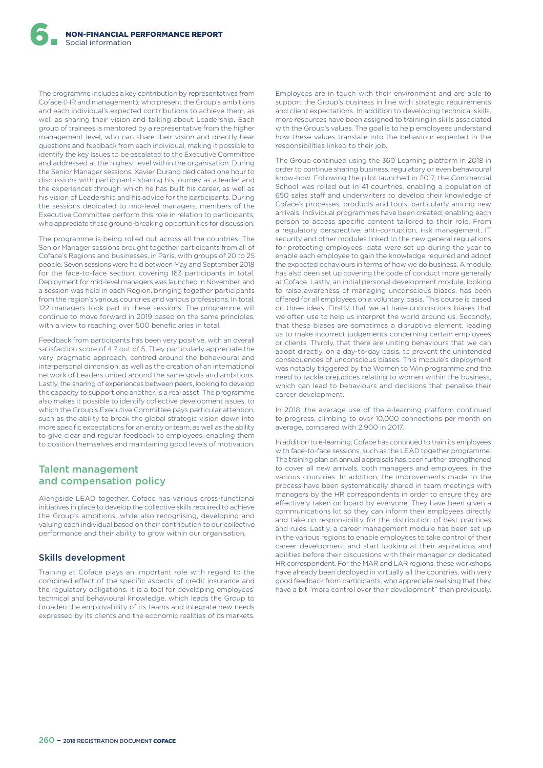The programme includes a key contribution by representatives from Coface (HR and management), who present the Group's ambitions and each individual's expected contributions to achieve them, as well as sharing their vision and talking about Leadership. Each group of trainees is mentored by a representative from the higher management level, who can share their vision and directly hear questions and feedback from each individual, making it possible to identify the key issues to be escalated to the Executive Committee and addressed at the highest level within the organisation. During the Senior Manager sessions, Xavier Durand dedicated one hour to discussions with participants sharing his journey as a leader and the experiences through which he has built his career, as well as his vision of Leadership and his advice for the participants. During the sessions dedicated to mid-level managers, members of the Executive Committee perform this role in relation to participants, who appreciate these ground-breaking opportunities for discussion.

The programme is being rolled out across all the countries. The Senior Manager sessions brought together participants from all of Coface's Regions and businesses, in Paris, with groups of 20 to 25 people. Seven sessions were held between May and September 2018 for the face-to-face section, covering 163 participants in total. Deployment for mid-level managers was launched in November, and a session was held in each Region, bringing together participants from the region's various countries and various professions. In total, 122 managers took part in these sessions. The programme will continue to move forward in 2019 based on the same principles, with a view to reaching over 500 beneficiaries in total.

Feedback from participants has been very positive, with an overall satisfaction score of 4.7 out of 5. They particularly appreciate the very pragmatic approach, centred around the behavioural and interpersonal dimension, as well as the creation of an international network of Leaders united around the same goals and ambitions. Lastly, the sharing of experiences between peers, looking to develop the capacity to support one another, is a real asset. The programme also makes it possible to identify collective development issues, to which the Group's Executive Committee pays particular attention, such as the ability to break the global strategic vision down into more specific expectations for an entity or team, as well as the ability to give clear and regular feedback to employees, enabling them to position themselves and maintaining good levels of motivation.

## Talent management and compensation policy

Alongside LEAD together, Coface has various cross-functional initiatives in place to develop the collective skills required to achieve the Group's ambitions, while also recognising, developing and valuing each individual based on their contribution to our collective performance and their ability to grow within our organisation.

#### Skills development

Training at Coface plays an important role with regard to the combined efect of the specific aspects of credit insurance and the regulatory obligations. It is a tool for developing employees' technical and behavioural knowledge, which leads the Group to broaden the employability of its teams and integrate new needs expressed by its clients and the economic realities of its markets.

Employees are in touch with their environment and are able to support the Group's business in line with strategic requirements and client expectations. In addition to developing technical skills, more resources have been assigned to training in skills associated with the Group's values. The goal is to help employees understand how these values translate into the behaviour expected in the responsibilities linked to their job.

The Group continued using the 360 Learning platform in 2018 in order to continue sharing business, regulatory or even behavioural know-how. Following the pilot launched in 2017, the Commercial School was rolled out in 41 countries, enabling a population of 650 sales staff and underwriters to develop their knowledge of Coface's processes, products and tools, particularly among new arrivals. Individual programmes have been created, enabling each person to access specific content tailored to their role. From a regulatory perspective, anti-corruption, risk management, IT security and other modules linked to the new general regulations for protecting employees' data were set up during the year to enable each employee to gain the knowledge required and adopt the expected behaviours in terms of how we do business. A module has also been set up covering the code of conduct more generally at Coface. Lastly, an initial personal development module, looking to raise awareness of managing unconscious biases, has been offered for all employees on a voluntary basis. This course is based on three ideas. Firstly, that we all have unconscious biases that we often use to help us interpret the world around us. Secondly, that these biases are sometimes a disruptive element, leading us to make incorrect judgements concerning certain employees or clients. Thirdly, that there are uniting behaviours that we can adopt directly, on a day-to-day basis, to prevent the unintended consequences of unconscious biases. This module's deployment was notably triggered by the Women to Win programme and the need to tackle prejudices relating to women within the business, which can lead to behaviours and decisions that penalise their career development.

In 2018, the average use of the e-learning platform continued to progress, climbing to over 10,000 connections per month on average, compared with 2,900 in 2017.

In addition to e-learning, Coface has continued to train its employees with face-to-face sessions, such as the LEAD together programme. The training plan on annual appraisals has been further strengthened to cover all new arrivals, both managers and employees, in the various countries. In addition, the improvements made to the process have been systematically shared in team meetings with managers by the HR correspondents in order to ensure they are efectively taken on board by everyone. They have been given a communications kit so they can inform their employees directly and take on responsibility for the distribution of best practices and rules. Lastly, a career management module has been set up in the various regions to enable employees to take control of their career development and start looking at their aspirations and abilities before their discussions with their manager or dedicated HR correspondent. For the MAR and LAR regions, these workshops have already been deployed in virtually all the countries, with very good feedback from participants, who appreciate realising that they have a bit "more control over their development" than previously.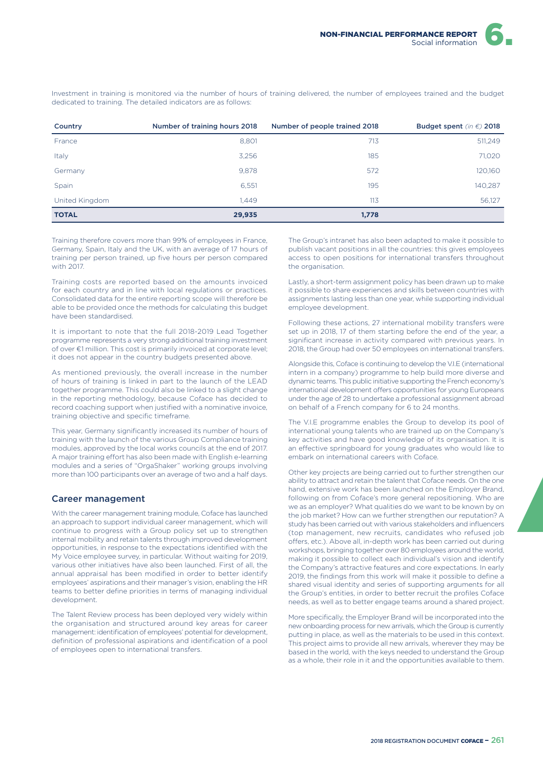Investment in training is monitored via the number of hours of training delivered, the number of employees trained and the budget dedicated to training. The detailed indicators are as follows:

| Country        | Number of training hours 2018 | Number of people trained 2018 | Budget spent (in $\epsilon$ ) 2018 |
|----------------|-------------------------------|-------------------------------|------------------------------------|
| France         | 8.801                         | 713                           | 511,249                            |
| Italy          | 3,256                         | 185                           | 71,020                             |
| Germany        | 9,878                         | 572                           | 120,160                            |
| Spain          | 6,551                         | 195                           | 140,287                            |
| United Kingdom | 1.449                         | 113                           | 56,127                             |
| <b>TOTAL</b>   | 29,935                        | 1,778                         |                                    |

Training therefore covers more than 99% of employees in France, Germany, Spain, Italy and the UK, with an average of 17 hours of training per person trained, up five hours per person compared with 2017.

Training costs are reported based on the amounts invoiced for each country and in line with local regulations or practices. Consolidated data for the entire reporting scope will therefore be able to be provided once the methods for calculating this budget have been standardised.

It is important to note that the full 2018-2019 Lead Together programme represents a very strong additional training investment of over €1 million. This cost is primarily invoiced at corporate level; it does not appear in the country budgets presented above.

As mentioned previously, the overall increase in the number of hours of training is linked in part to the launch of the LEAD together programme. This could also be linked to a slight change in the reporting methodology, because Coface has decided to record coaching support when justified with a nominative invoice, training objective and specific timeframe.

This year, Germany significantly increased its number of hours of training with the launch of the various Group Compliance training modules, approved by the local works councils at the end of 2017. A major training effort has also been made with English e-learning modules and a series of "OrgaShaker" working groups involving more than 100 participants over an average of two and a half days.

#### Career management

With the career management training module, Coface has launched an approach to support individual career management, which will continue to progress with a Group policy set up to strengthen internal mobility and retain talents through improved development opportunities, in response to the expectations identified with the My Voice employee survey, in particular. Without waiting for 2019, various other initiatives have also been launched. First of all, the annual appraisal has been modified in order to better identify employees' aspirations and their manager's vision, enabling the HR teams to better define priorities in terms of managing individual development.

The Talent Review process has been deployed very widely within the organisation and structured around key areas for career management: identification of employees' potential for development, definition of professional aspirations and identification of a pool of employees open to international transfers.

The Group's intranet has also been adapted to make it possible to publish vacant positions in all the countries: this gives employees access to open positions for international transfers throughout the organisation.

Lastly, a short-term assignment policy has been drawn up to make it possible to share experiences and skills between countries with assignments lasting less than one year, while supporting individual employee development.

Following these actions, 27 international mobility transfers were set up in 2018, 17 of them starting before the end of the year, a significant increase in activity compared with previous years. In 2018, the Group had over 50 employees on international transfers.

Alongside this, Coface is continuing to develop the V.I.E (international intern in a company) programme to help build more diverse and dynamic teams. This public initiative supporting the French economy's international development offers opportunities for young Europeans under the age of 28 to undertake a professional assignment abroad on behalf of a French company for 6 to 24 months.

The V.I.E programme enables the Group to develop its pool of international young talents who are trained up on the Company's key activities and have good knowledge of its organisation. It is an efective springboard for young graduates who would like to embark on international careers with Coface.

Other key projects are being carried out to further strengthen our ability to attract and retain the talent that Coface needs. On the one hand, extensive work has been launched on the Employer Brand, following on from Coface's more general repositioning. Who are we as an employer? What qualities do we want to be known by on the job market? How can we further strengthen our reputation? A study has been carried out with various stakeholders and influencers (top management, new recruits, candidates who refused job ofers, etc.). Above all, in-depth work has been carried out during workshops, bringing together over 80 employees around the world, making it possible to collect each individual's vision and identify the Company's attractive features and core expectations. In early 2019, the findings from this work will make it possible to define a shared visual identity and series of supporting arguments for all the Group's entities, in order to better recruit the profiles Coface needs, as well as to better engage teams around a shared project.

More specifically, the Employer Brand will be incorporated into the new onboarding process for new arrivals, which the Group is currently putting in place, as well as the materials to be used in this context. This project aims to provide all new arrivals, wherever they may be based in the world, with the keys needed to understand the Group as a whole, their role in it and the opportunities available to them.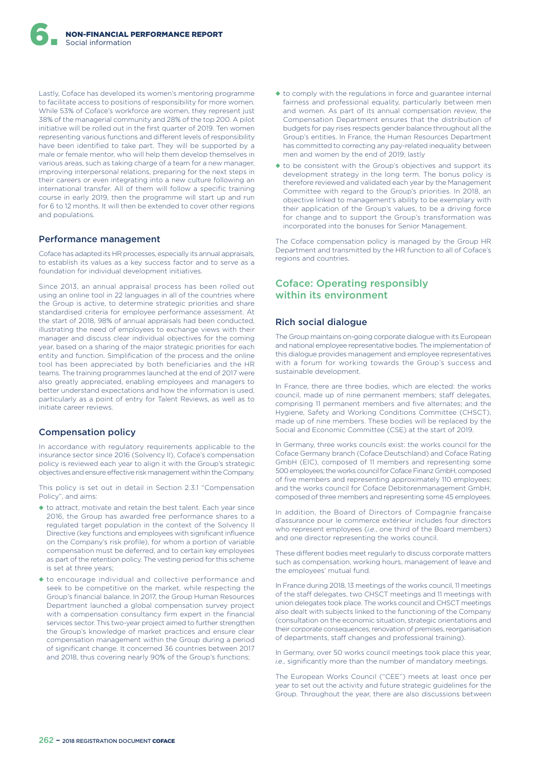Lastly, Coface has developed its women's mentoring programme to facilitate access to positions of responsibility for more women. While 53% of Coface's workforce are women, they represent just 38% of the managerial community and 28% of the top 200. A pilot initiative will be rolled out in the first quarter of 2019. Ten women representing various functions and diferent levels of responsibility have been identified to take part. They will be supported by a male or female mentor, who will help them develop themselves in various areas, such as taking charge of a team for a new manager, improving interpersonal relations, preparing for the next steps in their careers or even integrating into a new culture following an international transfer. All of them will follow a specific training course in early 2019, then the programme will start up and run for 6 to 12 months. It will then be extended to cover other regions and populations.

#### Performance management

Coface has adapted its HR processes, especially its annual appraisals, to establish its values as a key success factor and to serve as a foundation for individual development initiatives.

Since 2013, an annual appraisal process has been rolled out using an online tool in 22 languages in all of the countries where the Group is active, to determine strategic priorities and share standardised criteria for employee performance assessment. At the start of 2018, 98% of annual appraisals had been conducted, illustrating the need of employees to exchange views with their manager and discuss clear individual objectives for the coming year, based on a sharing of the major strategic priorities for each entity and function. Simplification of the process and the online tool has been appreciated by both beneficiaries and the HR teams. The training programmes launched at the end of 2017 were also greatly appreciated, enabling employees and managers to better understand expectations and how the information is used, particularly as a point of entry for Talent Reviews, as well as to initiate career reviews.

### Compensation policy

In accordance with regulatory requirements applicable to the insurance sector since 2016 (Solvency II), Coface's compensation policy is reviewed each year to align it with the Group's strategic objectives and ensure efective risk management within the Company.

This policy is set out in detail in Section 2.3.1 "Compensation Policy", and aims:

- $\triangle$  to attract, motivate and retain the best talent. Each year since 2016, the Group has awarded free performance shares to a regulated target population in the context of the Solvency II Directive (key functions and employees with significant influence on the Company's risk profile), for whom a portion of variable compensation must be deferred, and to certain key employees as part of the retention policy. The vesting period for this scheme is set at three years;
- ◆ to encourage individual and collective performance and seek to be competitive on the market, while respecting the Group's financial balance. In 2017, the Group Human Resources Department launched a global compensation survey project with a compensation consultancy firm expert in the financial services sector. This two-year project aimed to further strengthen the Group's knowledge of market practices and ensure clear compensation management within the Group during a period of significant change. It concerned 36 countries between 2017 and 2018, thus covering nearly 90% of the Group's functions;
- ◆ to comply with the regulations in force and guarantee internal fairness and professional equality, particularly between men and women. As part of its annual compensation review, the Compensation Department ensures that the distribution of budgets for pay rises respects gender balance throughout all the Group's entities. In France, the Human Resources Department has committed to correcting any pay-related inequality between men and women by the end of 2019; lastly
- ◆ to be consistent with the Group's objectives and support its development strategy in the long term. The bonus policy is therefore reviewed and validated each year by the Management Committee with regard to the Group's priorities. In 2018, an objective linked to management's ability to be exemplary with their application of the Group's values, to be a driving force for change and to support the Group's transformation was incorporated into the bonuses for Senior Management.

The Coface compensation policy is managed by the Group HR Department and transmitted by the HR function to all of Coface's regions and countries.

## Coface: Operating responsibly within its environment

### Rich social dialogue

The Group maintains on-going corporate dialogue with its European and national employee representative bodies. The implementation of this dialogue provides management and employee representatives with a forum for working towards the Group's success and sustainable development.

In France, there are three bodies, which are elected: the works council, made up of nine permanent members; staff delegates, comprising 11 permanent members and five alternates; and the Hygiene, Safety and Working Conditions Committee (CHSCT), made up of nine members. These bodies will be replaced by the Social and Economic Committee (CSE) at the start of 2019.

In Germany, three works councils exist: the works council for the Coface Germany branch (Coface Deutschland) and Coface Rating GmbH (EIC), composed of 11 members and representing some 500 employees; the works council for Coface Finanz GmbH, composed of five members and representing approximately 110 employees; and the works council for Coface Debitorenmanagement GmbH, composed of three members and representing some 45 employees.

In addition, the Board of Directors of Compagnie française d'assurance pour le commerce extérieur includes four directors who represent employees (*i.e*., one third of the Board members) and one director representing the works council.

These diferent bodies meet regularly to discuss corporate matters such as compensation, working hours, management of leave and the employees' mutual fund.

In France during 2018, 13 meetings of the works council, 11 meetings of the staff delegates, two CHSCT meetings and 11 meetings with union delegates took place. The works council and CHSCT meetings also dealt with subjects linked to the functioning of the Company (consultation on the economic situation, strategic orientations and their corporate consequences, renovation of premises, reorganisation of departments, staff changes and professional training).

In Germany, over 50 works council meetings took place this year, *i.e*., significantly more than the number of mandatory meetings.

The European Works Council ("CEE") meets at least once per year to set out the activity and future strategic guidelines for the Group. Throughout the year, there are also discussions between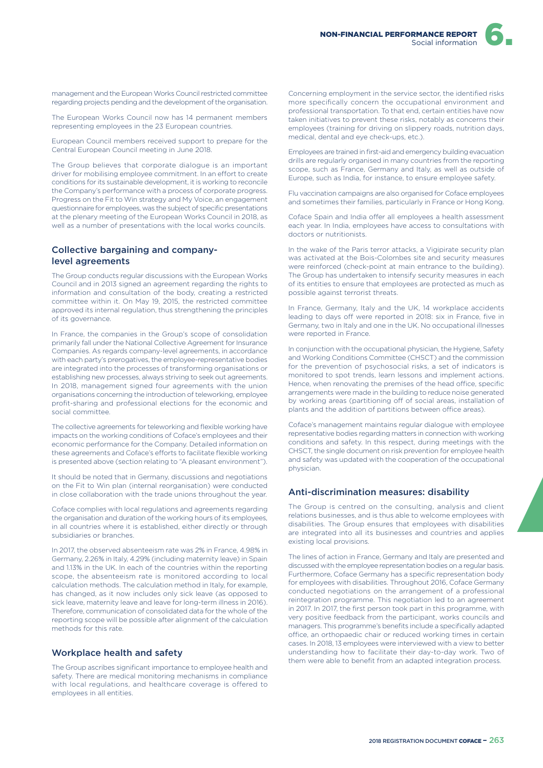

management and the European Works Council restricted committee regarding projects pending and the development of the organisation.

The European Works Council now has 14 permanent members representing employees in the 23 European countries.

European Council members received support to prepare for the Central European Council meeting in June 2018.

The Group believes that corporate dialogue is an important driver for mobilising employee commitment. In an effort to create conditions for its sustainable development, it is working to reconcile the Company's performance with a process of corporate progress. Progress on the Fit to Win strategy and My Voice, an engagement questionnaire for employees, was the subject of specific presentations at the plenary meeting of the European Works Council in 2018, as well as a number of presentations with the local works councils.

### Collective bargaining and companylevel agreements

The Group conducts regular discussions with the European Works Council and in 2013 signed an agreement regarding the rights to information and consultation of the body, creating a restricted committee within it. On May 19, 2015, the restricted committee approved its internal regulation, thus strengthening the principles of its governance.

In France, the companies in the Group's scope of consolidation primarily fall under the National Collective Agreement for Insurance Companies. As regards company-level agreements, in accordance with each party's prerogatives, the employee-representative bodies are integrated into the processes of transforming organisations or establishing new processes, always striving to seek out agreements. In 2018, management signed four agreements with the union organisations concerning the introduction of teleworking, employee profit-sharing and professional elections for the economic and social committee.

The collective agreements for teleworking and flexible working have impacts on the working conditions of Coface's employees and their economic performance for the Company. Detailed information on these agreements and Coface's efforts to facilitate flexible working is presented above (section relating to "A pleasant environment").

It should be noted that in Germany, discussions and negotiations on the Fit to Win plan (internal reorganisation) were conducted in close collaboration with the trade unions throughout the year.

Coface complies with local regulations and agreements regarding the organisation and duration of the working hours of its employees, in all countries where it is established, either directly or through subsidiaries or branches.

In 2017, the observed absenteeism rate was 2% in France, 4.98% in Germany, 2.26% in Italy, 4.29% (including maternity leave) in Spain and 1.13% in the UK. In each of the countries within the reporting scope, the absenteeism rate is monitored according to local calculation methods. The calculation method in Italy, for example, has changed, as it now includes only sick leave (as opposed to sick leave, maternity leave and leave for long-term illness in 2016). Therefore, communication of consolidated data for the whole of the reporting scope will be possible after alignment of the calculation methods for this rate.

### Workplace health and safety

The Group ascribes significant importance to employee health and safety. There are medical monitoring mechanisms in compliance with local regulations, and healthcare coverage is offered to employees in all entities.

Concerning employment in the service sector, the identified risks more specifically concern the occupational environment and professional transportation. To that end, certain entities have now taken initiatives to prevent these risks, notably as concerns their employees (training for driving on slippery roads, nutrition days, medical, dental and eye check-ups, etc.).

Employees are trained in first-aid and emergency building evacuation drills are regularly organised in many countries from the reporting scope, such as France, Germany and Italy, as well as outside of Europe, such as India, for instance, to ensure employee safety.

Flu vaccination campaigns are also organised for Coface employees and sometimes their families, particularly in France or Hong Kong.

Coface Spain and India offer all employees a health assessment each year. In India, employees have access to consultations with doctors or nutritionists.

In the wake of the Paris terror attacks, a Vigipirate security plan was activated at the Bois-Colombes site and security measures were reinforced (check-point at main entrance to the building). The Group has undertaken to intensify security measures in each of its entities to ensure that employees are protected as much as possible against terrorist threats.

In France, Germany, Italy and the UK, 14 workplace accidents leading to days off were reported in 2018: six in France, five in Germany, two in Italy and one in the UK. No occupational illnesses were reported in France.

In conjunction with the occupational physician, the Hygiene, Safety and Working Conditions Committee (CHSCT) and the commission for the prevention of psychosocial risks, a set of indicators is monitored to spot trends, learn lessons and implement actions. Hence, when renovating the premises of the head office, specific arrangements were made in the building to reduce noise generated by working areas (partitioning off of social areas, installation of plants and the addition of partitions between office areas).

Coface's management maintains regular dialogue with employee representative bodies regarding matters in connection with working conditions and safety. In this respect, during meetings with the CHSCT, the single document on risk prevention for employee health and safety was updated with the cooperation of the occupational physician.

#### Anti-discrimination measures: disability

The Group is centred on the consulting, analysis and client relations businesses, and is thus able to welcome employees with disabilities. The Group ensures that employees with disabilities are integrated into all its businesses and countries and applies existing local provisions.

The lines of action in France, Germany and Italy are presented and discussed with the employee representation bodies on a regular basis. Furthermore, Coface Germany has a specific representation body for employees with disabilities. Throughout 2016, Coface Germany conducted negotiations on the arrangement of a professional reintegration programme. This negotiation led to an agreement in 2017. In 2017, the first person took part in this programme, with very positive feedback from the participant, works councils and managers. This programme's benefits include a specifically adapted office, an orthopaedic chair or reduced working times in certain cases. In 2018, 13 employees were interviewed with a view to better understanding how to facilitate their day-to-day work. Two of them were able to benefit from an adapted integration process.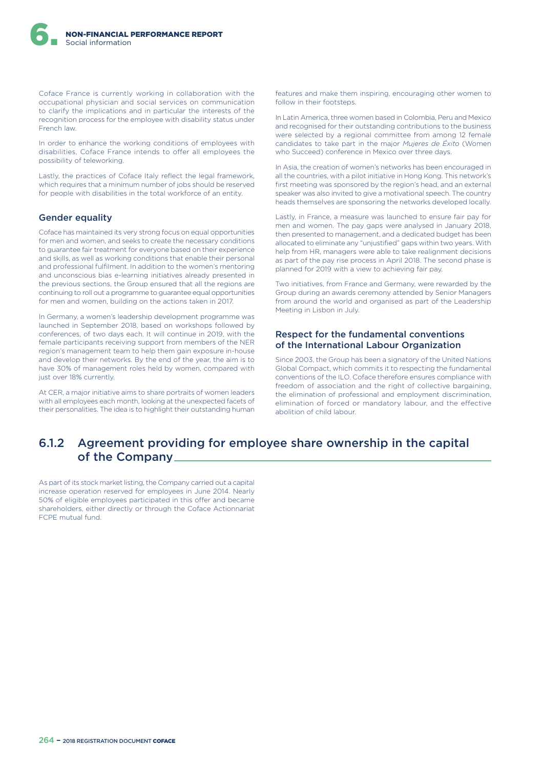Coface France is currently working in collaboration with the occupational physician and social services on communication to clarify the implications and in particular the interests of the recognition process for the employee with disability status under French law.

In order to enhance the working conditions of employees with disabilities, Coface France intends to offer all employees the possibility of teleworking.

Lastly, the practices of Coface Italy reflect the legal framework, which requires that a minimum number of jobs should be reserved for people with disabilities in the total workforce of an entity.

### Gender equality

Coface has maintained its very strong focus on equal opportunities for men and women, and seeks to create the necessary conditions to guarantee fair treatment for everyone based on their experience and skills, as well as working conditions that enable their personal and professional fulfilment. In addition to the women's mentoring and unconscious bias e-learning initiatives already presented in the previous sections, the Group ensured that all the regions are continuing to roll out a programme to guarantee equal opportunities for men and women, building on the actions taken in 2017.

In Germany, a women's leadership development programme was launched in September 2018, based on workshops followed by conferences, of two days each. It will continue in 2019, with the female participants receiving support from members of the NER region's management team to help them gain exposure in-house and develop their networks. By the end of the year, the aim is to have 30% of management roles held by women, compared with just over 18% currently.

At CER, a major initiative aims to share portraits of women leaders with all employees each month, looking at the unexpected facets of their personalities. The idea is to highlight their outstanding human features and make them inspiring, encouraging other women to follow in their footsteps.

In Latin America, three women based in Colombia, Peru and Mexico and recognised for their outstanding contributions to the business were selected by a regional committee from among 12 female candidates to take part in the major *Mujeres de Éxito* (Women who Succeed) conference in Mexico over three days.

In Asia, the creation of women's networks has been encouraged in all the countries, with a pilot initiative in Hong Kong. This network's first meeting was sponsored by the region's head, and an external speaker was also invited to give a motivational speech. The country heads themselves are sponsoring the networks developed locally.

Lastly, in France, a measure was launched to ensure fair pay for men and women. The pay gaps were analysed in January 2018, then presented to management, and a dedicated budget has been allocated to eliminate any "unjustified" gaps within two years. With help from HR, managers were able to take realignment decisions as part of the pay rise process in April 2018. The second phase is planned for 2019 with a view to achieving fair pay.

Two initiatives, from France and Germany, were rewarded by the Group during an awards ceremony attended by Senior Managers from around the world and organised as part of the Leadership Meeting in Lisbon in July.

#### Respect for the fundamental conventions of the International Labour Organization

Since 2003, the Group has been a signatory of the United Nations Global Compact, which commits it to respecting the fundamental conventions of the ILO. Coface therefore ensures compliance with freedom of association and the right of collective bargaining, the elimination of professional and employment discrimination, elimination of forced or mandatory labour, and the effective abolition of child labour.

# 6.1.2 Agreement providing for employee share ownership in the capital of the Company

As part of its stock market listing, the Company carried out a capital increase operation reserved for employees in June 2014. Nearly 50% of eligible employees participated in this offer and became shareholders, either directly or through the Coface Actionnariat FCPE mutual fund.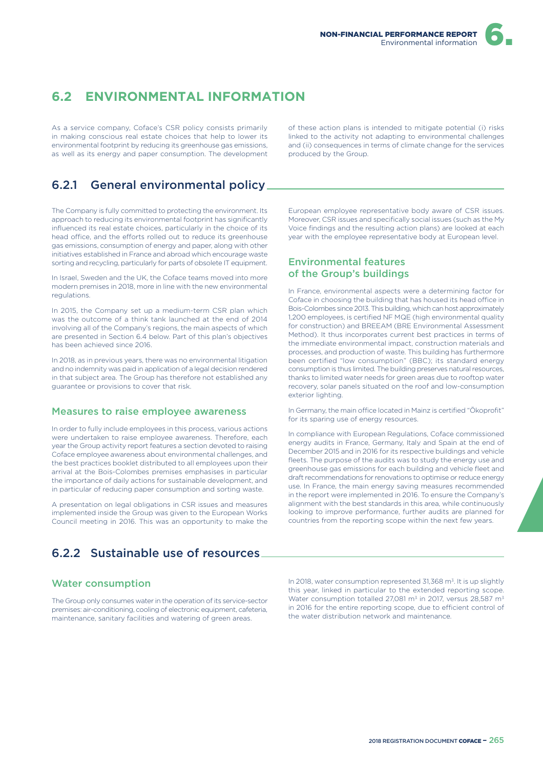# **6.2 ENVIRONMENTAL INFORMATION**

As a service company, Coface's CSR policy consists primarily in making conscious real estate choices that help to lower its environmental footprint by reducing its greenhouse gas emissions, as well as its energy and paper consumption. The development

6.2.1 General environmental policy

The Company is fully committed to protecting the environment. Its approach to reducing its environmental footprint has significantly influenced its real estate choices, particularly in the choice of its head office, and the efforts rolled out to reduce its greenhouse gas emissions, consumption of energy and paper, along with other initiatives established in France and abroad which encourage waste sorting and recycling, particularly for parts of obsolete IT equipment.

In Israel, Sweden and the UK, the Coface teams moved into more modern premises in 2018, more in line with the new environmental regulations.

In 2015, the Company set up a medium-term CSR plan which was the outcome of a think tank launched at the end of 2014 involving all of the Company's regions, the main aspects of which are presented in Section 6.4 below. Part of this plan's objectives has been achieved since 2016.

In 2018, as in previous years, there was no environmental litigation and no indemnity was paid in application of a legal decision rendered in that subject area. The Group has therefore not established any guarantee or provisions to cover that risk.

### Measures to raise employee awareness

In order to fully include employees in this process, various actions were undertaken to raise employee awareness. Therefore, each year the Group activity report features a section devoted to raising Coface employee awareness about environmental challenges, and the best practices booklet distributed to all employees upon their arrival at the Bois-Colombes premises emphasises in particular the importance of daily actions for sustainable development, and in particular of reducing paper consumption and sorting waste.

A presentation on legal obligations in CSR issues and measures implemented inside the Group was given to the European Works Council meeting in 2016. This was an opportunity to make the

6.2.2 Sustainable use of resources

## Water consumption

The Group only consumes water in the operation of its service-sector premises: air-conditioning, cooling of electronic equipment, cafeteria, maintenance, sanitary facilities and watering of green areas.

of these action plans is intended to mitigate potential (i) risks linked to the activity not adapting to environmental challenges and (ii) consequences in terms of climate change for the services produced by the Group.

European employee representative body aware of CSR issues. Moreover, CSR issues and specifically social issues (such as the My Voice findings and the resulting action plans) are looked at each year with the employee representative body at European level.

## Environmental features of the Group's buildings

In France, environmental aspects were a determining factor for Coface in choosing the building that has housed its head office in Bois-Colombes since 2013. This building, which can host approximately 1,200 employees, is certified NF MQE (high environmental quality for construction) and BREEAM (BRE Environmental Assessment Method). It thus incorporates current best practices in terms of the immediate environmental impact, construction materials and processes, and production of waste. This building has furthermore been certified "low consumption" (BBC); its standard energy consumption is thus limited. The building preserves natural resources, thanks to limited water needs for green areas due to rooftop water recovery, solar panels situated on the roof and low-consumption exterior lighting.

In Germany, the main office located in Mainz is certified "Ökoprofit" for its sparing use of energy resources.

In compliance with European Regulations, Coface commissioned energy audits in France, Germany, Italy and Spain at the end of December 2015 and in 2016 for its respective buildings and vehicle fleets. The purpose of the audits was to study the energy use and greenhouse gas emissions for each building and vehicle fleet and draft recommendations for renovations to optimise or reduce energy use. In France, the main energy saving measures recommended in the report were implemented in 2016. To ensure the Company's alignment with the best standards in this area, while continuously looking to improve performance, further audits are planned for countries from the reporting scope within the next few years.

In 2018, water consumption represented 31,368 m<sup>3</sup>. It is up slightly this year, linked in particular to the extended reporting scope. Water consumption totalled 27,081  $m<sup>3</sup>$  in 2017, versus 28,587  $m<sup>3</sup>$ in 2016 for the entire reporting scope, due to efficient control of the water distribution network and maintenance.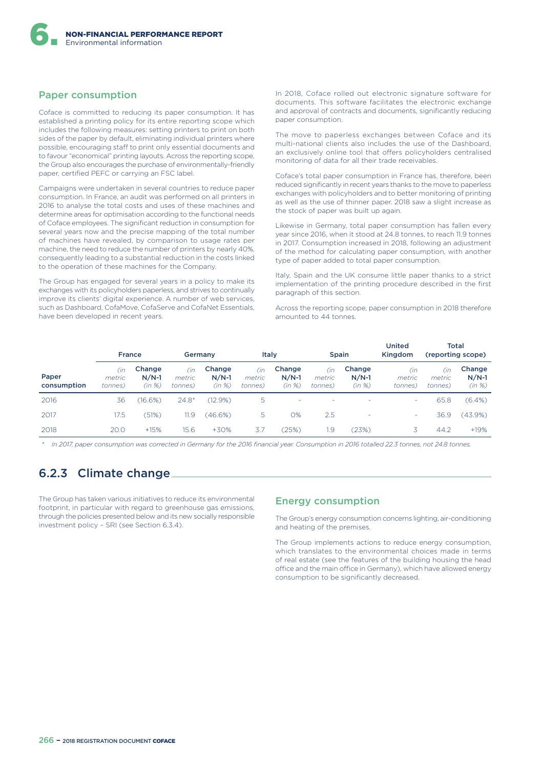### Paper consumption

Coface is committed to reducing its paper consumption. It has established a printing policy for its entire reporting scope which includes the following measures: setting printers to print on both sides of the paper by default, eliminating individual printers where possible, encouraging staff to print only essential documents and to favour "economical" printing layouts. Across the reporting scope, the Group also encourages the purchase of environmentally-friendly paper, certified PEFC or carrying an FSC label.

Campaigns were undertaken in several countries to reduce paper consumption. In France, an audit was performed on all printers in 2016 to analyse the total costs and uses of these machines and determine areas for optimisation according to the functional needs of Coface employees. The significant reduction in consumption for several years now and the precise mapping of the total number of machines have revealed, by comparison to usage rates per machine, the need to reduce the number of printers by nearly 40%, consequently leading to a substantial reduction in the costs linked to the operation of these machines for the Company.

The Group has engaged for several years in a policy to make its exchanges with its policyholders paperless, and strives to continually improve its clients' digital experience. A number of web services, such as Dashboard, CofaMove, CofaServe and CofaNet Essentials, have been developed in recent years.

In 2018, Coface rolled out electronic signature software for documents. This software facilitates the electronic exchange and approval of contracts and documents, significantly reducing paper consumption.

The move to paperless exchanges between Coface and its multi-national clients also includes the use of the Dashboard, an exclusively online tool that offers policyholders centralised monitoring of data for all their trade receivables.

Coface's total paper consumption in France has, therefore, been reduced significantly in recent years thanks to the move to paperless exchanges with policyholders and to better monitoring of printing as well as the use of thinner paper. 2018 saw a slight increase as the stock of paper was built up again.

Likewise in Germany, total paper consumption has fallen every year since 2016, when it stood at 24.8 tonnes, to reach 11.9 tonnes in 2017. Consumption increased in 2018, following an adjustment of the method for calculating paper consumption, with another type of paper added to total paper consumption.

Italy, Spain and the UK consume little paper thanks to a strict implementation of the printing procedure described in the first paragraph of this section.

Across the reporting scope, paper consumption in 2018 therefore amounted to 44 tonnes.

|                      | <b>France</b>            |                             | Germany                  |                             | Italy                    |                             | <b>Spain</b>             |                             | <b>United</b><br>Kingdom |                          | <b>Total</b><br>(reporting scope) |
|----------------------|--------------------------|-----------------------------|--------------------------|-----------------------------|--------------------------|-----------------------------|--------------------------|-----------------------------|--------------------------|--------------------------|-----------------------------------|
| Paper<br>consumption | (in<br>metric<br>tonnes) | Change<br>$N/N-1$<br>(in %) | (in<br>metric<br>tonnes) | Change<br>$N/N-1$<br>(in %) | (in<br>metric<br>tonnes) | Change<br>$N/N-1$<br>(in %) | (in<br>metric<br>tonnes) | Change<br>$N/N-1$<br>(in %) | (in<br>metric<br>tonnes) | (in<br>metric<br>tonnes) | Change<br>$N/N-1$<br>(in %)       |
| 2016                 | 36                       | (16.6%)                     | $24.8*$                  | (12.9%)                     | 5                        | ٠                           | ٠                        | ٠                           | ۰                        | 65.8                     | $(6.4\%)$                         |
| 2017                 | 17.5                     | (51%)                       | 11.9                     | (46.6%)                     | 5                        | 0%                          | 2.5                      | ٠                           | ۰                        | 36.9                     | $(43.9\%)$                        |
| 2018                 | 20.0                     | $+15%$                      | 15.6                     | $+30%$                      | 3.7                      | $25\%)$                     | 1.9                      | (23%)                       | 3                        | 44.2                     | $+19%$                            |

*\* In 2017, paper consumption was corrected in Germany for the 2016 financial year. Consumption in 2016 totalled 22.3 tonnes, not 24.8 tonnes.*

# 6.2.3 Climate change

The Group has taken various initiatives to reduce its environmental footprint, in particular with regard to greenhouse gas emissions, through the policies presented below and its new socially responsible investment policy – SRI (see Section 6.3.4).

#### Energy consumption

The Group's energy consumption concerns lighting, air-conditioning and heating of the premises.

The Group implements actions to reduce energy consumption, which translates to the environmental choices made in terms of real estate (see the features of the building housing the head office and the main office in Germany), which have allowed energy consumption to be significantly decreased.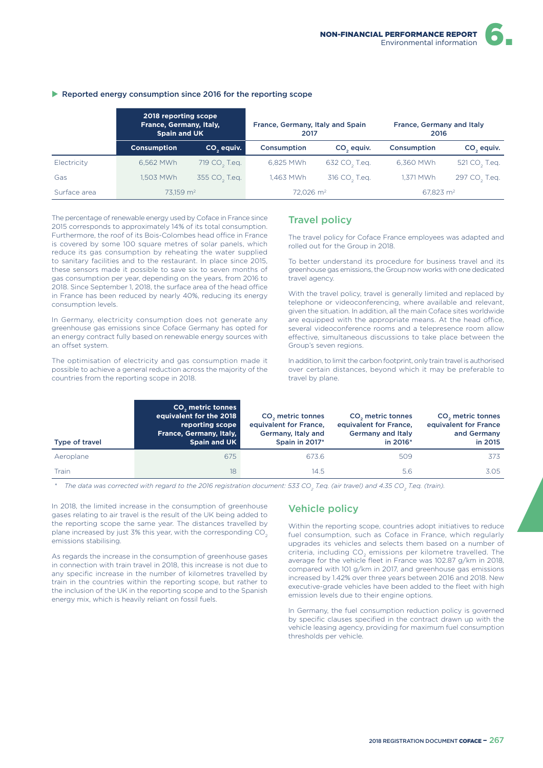#### $\blacktriangleright$  Reported energy consumption since 2016 for the reporting scope

|              | 2018 reporting scope<br>France, Germany, Italy,<br><b>Spain and UK</b> |                           | France, Germany, Italy and Spain<br>2017 |                           | France, Germany and Italy<br>2016 |                           |  |
|--------------|------------------------------------------------------------------------|---------------------------|------------------------------------------|---------------------------|-----------------------------------|---------------------------|--|
|              | <b>Consumption</b>                                                     | CO <sub>2</sub> equiv.    | Consumption                              | CO <sub>2</sub> equiv.    | Consumption                       | CO <sub>2</sub> equiv.    |  |
| Electricity  | 6.562 MWh                                                              | 719 CO <sub>2</sub> T.eq. | 6.825 MWh                                | 632 CO <sub>2</sub> T.eq. | 6.360 MWh                         | 521 CO <sub>2</sub> T.eq. |  |
| Gas          | 1.503 MWh                                                              | 355 CO <sub>2</sub> T.eq. | 1,463 MWh                                | 316 CO <sub>2</sub> T.eq. | 1.371 MWh                         | 297 CO <sub>2</sub> T.eq. |  |
| Surface area | 73.159 m <sup>2</sup>                                                  |                           | $72.026$ m <sup>2</sup>                  |                           | 67.823 $\,$ m <sup>2</sup>        |                           |  |

The percentage of renewable energy used by Coface in France since 2015 corresponds to approximately 14% of its total consumption. Furthermore, the roof of its Bois-Colombes head office in France is covered by some 100 square metres of solar panels, which reduce its gas consumption by reheating the water supplied to sanitary facilities and to the restaurant. In place since 2015, these sensors made it possible to save six to seven months of gas consumption per year, depending on the years, from 2016 to 2018. Since September 1, 2018, the surface area of the head office in France has been reduced by nearly 40%, reducing its energy consumption levels.

In Germany, electricity consumption does not generate any greenhouse gas emissions since Coface Germany has opted for an energy contract fully based on renewable energy sources with an offset system.

The optimisation of electricity and gas consumption made it possible to achieve a general reduction across the majority of the countries from the reporting scope in 2018.

### Travel policy

The travel policy for Coface France employees was adapted and rolled out for the Group in 2018.

To better understand its procedure for business travel and its greenhouse gas emissions, the Group now works with one dedicated travel agency.

With the travel policy, travel is generally limited and replaced by telephone or videoconferencing, where available and relevant, given the situation. In addition, all the main Coface sites worldwide are equipped with the appropriate means. At the head office, several videoconference rooms and a telepresence room allow efective, simultaneous discussions to take place between the Group's seven regions.

In addition, to limit the carbon footprint, only train travel is authorised over certain distances, beyond which it may be preferable to travel by plane.

| Type of travel | CO <sub>2</sub> metric tonnes<br>equivalent for the 2018<br>reporting scope<br>France, Germany, Italy,<br>Spain and UK | CO <sub>2</sub> metric tonnes<br>equivalent for France,<br>Germany, Italy and<br>Spain in 2017* | CO <sub>2</sub> metric tonnes<br>equivalent for France,<br><b>Germany and Italy</b><br>in 2016* | CO <sub>2</sub> metric tonnes<br>equivalent for France<br>and Germany<br>in 2015 |
|----------------|------------------------------------------------------------------------------------------------------------------------|-------------------------------------------------------------------------------------------------|-------------------------------------------------------------------------------------------------|----------------------------------------------------------------------------------|
| Aeroplane      | 675                                                                                                                    | 673.6                                                                                           | 509                                                                                             | 373                                                                              |
| Train          | 18                                                                                                                     | 14.5                                                                                            | 5.6                                                                                             | 3.05                                                                             |

*\* The data was corrected with regard to the 2016 registration document: 533 CO<sup>2</sup> T.eq. (air travel) and 4.35 CO<sup>2</sup> T.eq. (train).*

In 2018, the limited increase in the consumption of greenhouse gases relating to air travel is the result of the UK being added to the reporting scope the same year. The distances travelled by plane increased by just 3% this year, with the corresponding CO<sub>2</sub> emissions stabilising.

As regards the increase in the consumption of greenhouse gases in connection with train travel in 2018, this increase is not due to any specific increase in the number of kilometres travelled by train in the countries within the reporting scope, but rather to the inclusion of the UK in the reporting scope and to the Spanish energy mix, which is heavily reliant on fossil fuels.

### Vehicle policy

Within the reporting scope, countries adopt initiatives to reduce fuel consumption, such as Coface in France, which regularly upgrades its vehicles and selects them based on a number of criteria, including  $\mathsf{CO}_2$  emissions per kilometre travelled. The average for the vehicle fleet in France was 102.87 g/km in 2018, compared with 101 g/km in 2017, and greenhouse gas emissions increased by 1.42% over three years between 2016 and 2018. New executive-grade vehicles have been added to the fleet with high emission levels due to their engine options.

In Germany, the fuel consumption reduction policy is governed by specific clauses specified in the contract drawn up with the vehicle leasing agency, providing for maximum fuel consumption thresholds per vehicle.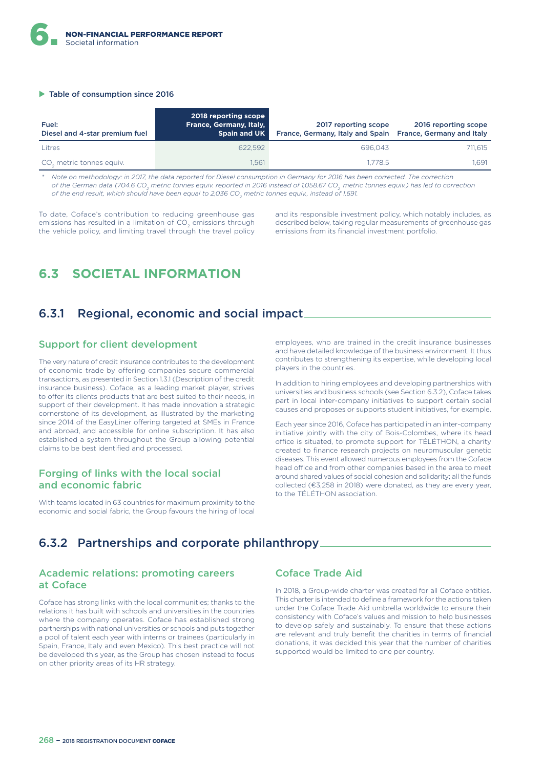#### $\blacktriangleright$  Table of consumption since 2016

| Fuel:<br>Diesel and 4-star premium fuel | 2018 reporting scope<br><b>France, Germany, Italy,</b><br><b>Spain and UK</b> | 2017 reporting scope<br>France, Germany, Italy and Spain | 2016 reporting scope<br>France, Germany and Italy |
|-----------------------------------------|-------------------------------------------------------------------------------|----------------------------------------------------------|---------------------------------------------------|
| Litres                                  | 622.592                                                                       | 696.043                                                  | 711.615                                           |
| CO <sub>2</sub> metric tonnes equiv.    | 1.561                                                                         | 1.778.5                                                  | 1.691                                             |

*\* Note on methodology: in 2017, the data reported for Diesel consumption in Germany for 2016 has been corrected. The correction of the German data (704.6 CO<sup>2</sup> metric tonnes equiv. reported in 2016 instead of 1,058.67 CO<sup>2</sup> metric tonnes equiv.) has led to correction of the end result, which should have been equal to 2,036 CO<sup>2</sup> metric tonnes equiv., instead of 1,691.*

To date, Coface's contribution to reducing greenhouse gas emissions has resulted in a limitation of CO<sub>2</sub> emissions through the vehicle policy, and limiting travel through the travel policy

and its responsible investment policy, which notably includes, as described below, taking regular measurements of greenhouse gas emissions from its financial investment portfolio.

# **6.3 SOCIETAL INFORMATION**

# 6.3.1 Regional, economic and social impact

## Support for client development

The very nature of credit insurance contributes to the development of economic trade by offering companies secure commercial transactions, as presented in Section 1.3.1 (Description of the credit insurance business). Coface, as a leading market player, strives to offer its clients products that are best suited to their needs, in support of their development. It has made innovation a strategic cornerstone of its development, as illustrated by the marketing since 2014 of the EasyLiner offering targeted at SMEs in France and abroad, and accessible for online subscription. It has also established a system throughout the Group allowing potential claims to be best identified and processed.

## Forging of links with the local social and economic fabric

With teams located in 63 countries for maximum proximity to the economic and social fabric, the Group favours the hiring of local employees, who are trained in the credit insurance businesses and have detailed knowledge of the business environment. It thus contributes to strengthening its expertise, while developing local players in the countries.

In addition to hiring employees and developing partnerships with universities and business schools (see Section 6.3.2), Coface takes part in local inter-company initiatives to support certain social causes and proposes or supports student initiatives, for example.

Each year since 2016, Coface has participated in an inter-company initiative jointly with the city of Bois-Colombes, where its head office is situated, to promote support for TÉLÉTHON, a charity created to finance research projects on neuromuscular genetic diseases. This event allowed numerous employees from the Coface head office and from other companies based in the area to meet around shared values of social cohesion and solidarity; all the funds collected (€3,258 in 2018) were donated, as they are every year, to the TÉLÉTHON association.

# 6.3.2 Partnerships and corporate philanthropy

## Academic relations: promoting careers at Coface

Coface has strong links with the local communities; thanks to the relations it has built with schools and universities in the countries where the company operates. Coface has established strong partnerships with national universities or schools and puts together a pool of talent each year with interns or trainees (particularly in Spain, France, Italy and even Mexico). This best practice will not be developed this year, as the Group has chosen instead to focus on other priority areas of its HR strategy.

### Coface Trade Aid

In 2018, a Group-wide charter was created for all Coface entities. This charter is intended to define a framework for the actions taken under the Coface Trade Aid umbrella worldwide to ensure their consistency with Coface's values and mission to help businesses to develop safely and sustainably. To ensure that these actions are relevant and truly benefit the charities in terms of financial donations, it was decided this year that the number of charities supported would be limited to one per country.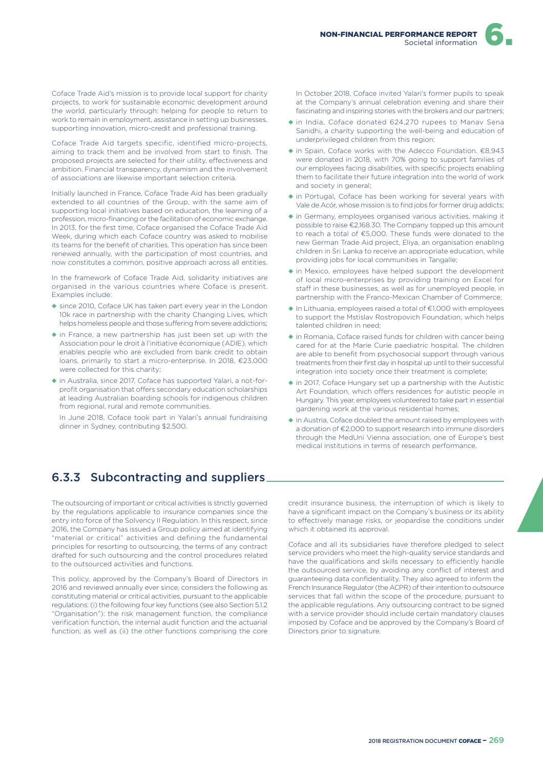Coface Trade Aid's mission is to provide local support for charity projects, to work for sustainable economic development around the world, particularly through: helping for people to return to work to remain in employment, assistance in setting up businesses, supporting innovation, micro-credit and professional training.

Coface Trade Aid targets specific, identified micro-projects, aiming to track them and be involved from start to finish. The proposed projects are selected for their utility, effectiveness and ambition. Financial transparency, dynamism and the involvement of associations are likewise important selection criteria.

Initially launched in France, Coface Trade Aid has been gradually extended to all countries of the Group, with the same aim of supporting local initiatives based on education, the learning of a profession, micro-financing or the facilitation of economic exchange. In 2013, for the first time, Coface organised the Coface Trade Aid Week, during which each Coface country was asked to mobilise its teams for the benefit of charities. This operation has since been renewed annually, with the participation of most countries, and now constitutes a common, positive approach across all entities.

In the framework of Coface Trade Aid, solidarity initiatives are organised in the various countries where Coface is present. Examples include:

- ◆ since 2010, Coface UK has taken part every year in the London 10k race in partnership with the charity Changing Lives, which helps homeless people and those suffering from severe addictions;
- ◆ in France, a new partnership has just been set up with the Association pour le droit à l'initiative économique (ADIE), which enables people who are excluded from bank credit to obtain loans, primarily to start a micro-enterprise. In 2018, €23,000 were collected for this charity;
- ◆ in Australia, since 2017, Coface has supported Yalari, a not-forprofit organisation that offers secondary education scholarships at leading Australian boarding schools for indigenous children from regional, rural and remote communities.

In June 2018, Coface took part in Yalari's annual fundraising dinner in Sydney, contributing \$2,500.

In October 2018, Coface invited Yalari's former pupils to speak at the Company's annual celebration evening and share their fascinating and inspiring stories with the brokers and our partners;

- ◆ in India, Coface donated 624,270 rupees to Manav Sena Sanidhi, a charity supporting the well-being and education of underprivileged children from this region;
- ◆ in Spain, Coface works with the Adecco Foundation. €8,943 were donated in 2018, with 70% going to support families of our employees facing disabilities, with specific projects enabling them to facilitate their future integration into the world of work and society in general;
- ◆ in Portugal, Coface has been working for several years with Vale de Acór, whose mission is to find jobs for former drug addicts;
- ◆ in Germany, employees organised various activities, making it possible to raise €2,168.30. The Company topped up this amount to reach a total of €5,000. These funds were donated to the new German Trade Aid project, Eliya, an organisation enabling children in Sri Lanka to receive an appropriate education, while providing jobs for local communities in Tangalle;
- ◆ in Mexico, employees have helped support the development of local micro-enterprises by providing training on Excel for staff in these businesses, as well as for unemployed people, in partnership with the Franco-Mexican Chamber of Commerce;
- ◆ In Lithuania, employees raised a total of €1,000 with employees to support the Mstislav Rostropovich Foundation, which helps talented children in need;
- ◆ in Romania, Coface raised funds for children with cancer being cared for at the Marie Curie paediatric hospital. The children are able to benefit from psychosocial support through various treatments from their first day in hospital up until to their successful integration into society once their treatment is complete;
- ◆ in 2017, Coface Hungary set up a partnership with the Autistic Art Foundation, which offers residences for autistic people in Hungary. This year, employees volunteered to take part in essential gardening work at the various residential homes;
- ◆ in Austria, Coface doubled the amount raised by employees with a donation of €2,000 to support research into immune disorders through the MedUni Vienna association, one of Europe's best medical institutions in terms of research performance.

# 6.3.3 Subcontracting and suppliers

The outsourcing of important or critical activities is strictly governed by the regulations applicable to insurance companies since the entry into force of the Solvency II Regulation. In this respect, since 2016, the Company has issued a Group policy aimed at identifying "material or critical" activities and defining the fundamental principles for resorting to outsourcing, the terms of any contract drafted for such outsourcing and the control procedures related to the outsourced activities and functions.

This policy, approved by the Company's Board of Directors in 2016 and reviewed annually ever since, considers the following as constituting material or critical activities, pursuant to the applicable regulations: (i) the following four key functions (see also Section 5.1.2 "Organisation"): the risk management function, the compliance verification function, the internal audit function and the actuarial function; as well as (ii) the other functions comprising the core

credit insurance business, the interruption of which is likely to have a significant impact on the Company's business or its ability to efectively manage risks, or jeopardise the conditions under which it obtained its approval.

Coface and all its subsidiaries have therefore pledged to select service providers who meet the high-quality service standards and have the qualifications and skills necessary to efficiently handle the outsourced service, by avoiding any conflict of interest and guaranteeing data confidentiality. They also agreed to inform the French Insurance Regulator (the ACPR) of their intention to outsource services that fall within the scope of the procedure, pursuant to the applicable regulations. Any outsourcing contract to be signed with a service provider should include certain mandatory clauses imposed by Coface and be approved by the Company's Board of Directors prior to signature.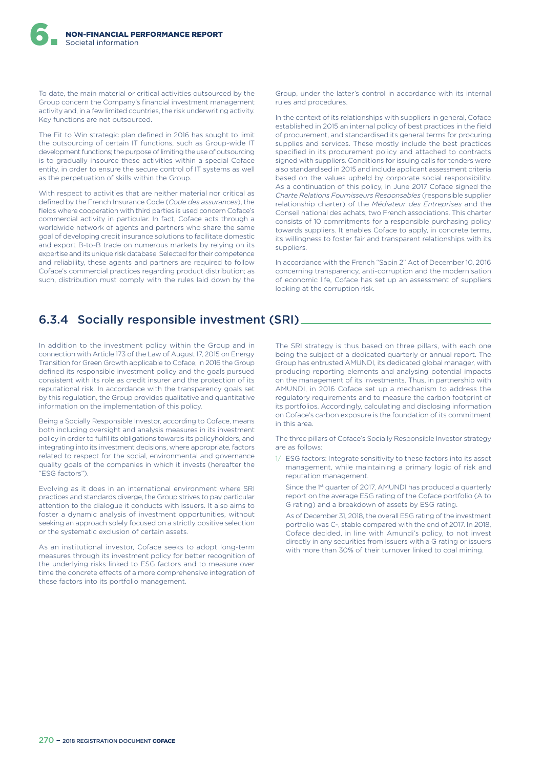To date, the main material or critical activities outsourced by the Group concern the Company's financial investment management activity and, in a few limited countries, the risk underwriting activity. Key functions are not outsourced.

The Fit to Win strategic plan defined in 2016 has sought to limit the outsourcing of certain IT functions, such as Group-wide IT development functions; the purpose of limiting the use of outsourcing is to gradually insource these activities within a special Coface entity, in order to ensure the secure control of IT systems as well as the perpetuation of skills within the Group.

With respect to activities that are neither material nor critical as defined by the French Insurance Code (*Code des assurances*), the fields where cooperation with third parties is used concern Coface's commercial activity in particular. In fact, Coface acts through a worldwide network of agents and partners who share the same goal of developing credit insurance solutions to facilitate domestic and export B-to-B trade on numerous markets by relying on its expertise and its unique risk database. Selected for their competence and reliability, these agents and partners are required to follow Coface's commercial practices regarding product distribution; as such, distribution must comply with the rules laid down by the Group, under the latter's control in accordance with its internal rules and procedures.

In the context of its relationships with suppliers in general, Coface established in 2015 an internal policy of best practices in the field of procurement, and standardised its general terms for procuring supplies and services. These mostly include the best practices specified in its procurement policy and attached to contracts signed with suppliers. Conditions for issuing calls for tenders were also standardised in 2015 and include applicant assessment criteria based on the values upheld by corporate social responsibility. As a continuation of this policy, in June 2017 Coface signed the *Charte Relations Fournisseurs Responsables* (responsible supplier relationship charter) of the *Médiateur des Entreprises* and the Conseil national des achats, two French associations. This charter consists of 10 commitments for a responsible purchasing policy towards suppliers. It enables Coface to apply, in concrete terms, its willingness to foster fair and transparent relationships with its suppliers.

In accordance with the French "Sapin 2" Act of December 10, 2016 concerning transparency, anti-corruption and the modernisation of economic life, Coface has set up an assessment of suppliers looking at the corruption risk.

# 6.3.4 Socially responsible investment (SRI)

In addition to the investment policy within the Group and in connection with Article 173 of the Law of August 17, 2015 on Energy Transition for Green Growth applicable to Coface, in 2016 the Group defined its responsible investment policy and the goals pursued consistent with its role as credit insurer and the protection of its reputational risk. In accordance with the transparency goals set by this regulation, the Group provides qualitative and quantitative information on the implementation of this policy.

Being a Socially Responsible Investor, according to Coface, means both including oversight and analysis measures in its investment policy in order to fulfil its obligations towards its policyholders, and integrating into its investment decisions, where appropriate, factors related to respect for the social, environmental and governance quality goals of the companies in which it invests (hereafter the "ESG factors").

Evolving as it does in an international environment where SRI practices and standards diverge, the Group strives to pay particular attention to the dialogue it conducts with issuers. It also aims to foster a dynamic analysis of investment opportunities, without seeking an approach solely focused on a strictly positive selection or the systematic exclusion of certain assets.

As an institutional investor, Coface seeks to adopt long-term measures through its investment policy for better recognition of the underlying risks linked to ESG factors and to measure over time the concrete effects of a more comprehensive integration of these factors into its portfolio management.

The SRI strategy is thus based on three pillars, with each one being the subject of a dedicated quarterly or annual report. The Group has entrusted AMUNDI, its dedicated global manager, with producing reporting elements and analysing potential impacts on the management of its investments. Thus, in partnership with AMUNDI, in 2016 Coface set up a mechanism to address the regulatory requirements and to measure the carbon footprint of its portfolios. Accordingly, calculating and disclosing information on Coface's carbon exposure is the foundation of its commitment in this area.

The three pillars of Coface's Socially Responsible Investor strategy are as follows:

- 1/ ESG factors: Integrate sensitivity to these factors into its asset management, while maintaining a primary logic of risk and reputation management.
	- Since the 1st quarter of 2017, AMUNDI has produced a quarterly report on the average ESG rating of the Coface portfolio (A to G rating) and a breakdown of assets by ESG rating.
	- As of December 31, 2018, the overall ESG rating of the investment portfolio was C-, stable compared with the end of 2017. In 2018, Coface decided, in line with Amundi's policy, to not invest directly in any securities from issuers with a G rating or issuers with more than 30% of their turnover linked to coal mining.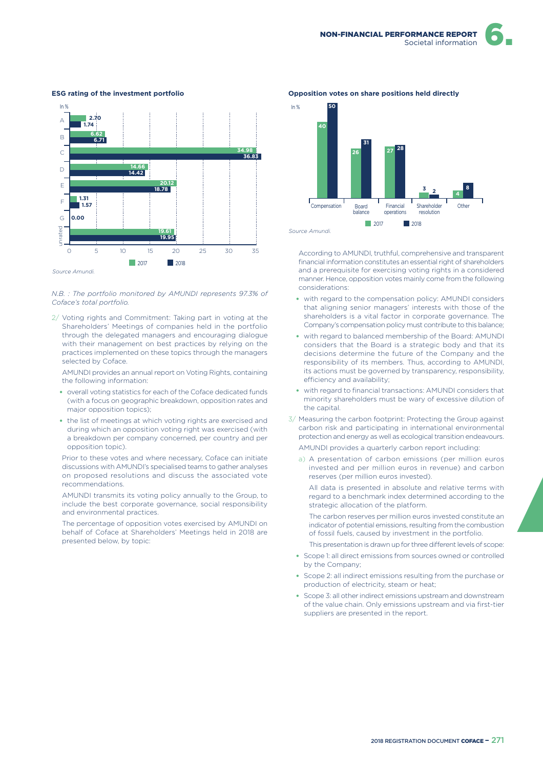

#### **ESG rating of the investment portfolio**

#### *N.B. : The portfolio monitored by AMUNDI represents 97.3% of Coface's total portfolio.*

2/ Voting rights and Commitment: Taking part in voting at the Shareholders' Meetings of companies held in the portfolio through the delegated managers and encouraging dialogue with their management on best practices by relying on the practices implemented on these topics through the managers selected by Coface.

AMUNDI provides an annual report on Voting Rights, containing the following information:

- overall voting statistics for each of the Coface dedicated funds (with a focus on geographic breakdown, opposition rates and major opposition topics);
- the list of meetings at which voting rights are exercised and during which an opposition voting right was exercised (with a breakdown per company concerned, per country and per opposition topic).

Prior to these votes and where necessary, Coface can initiate discussions with AMUNDI's specialised teams to gather analyses on proposed resolutions and discuss the associated vote recommendations.

AMUNDI transmits its voting policy annually to the Group, to include the best corporate governance, social responsibility and environmental practices.

The percentage of opposition votes exercised by AMUNDI on behalf of Coface at Shareholders' Meetings held in 2018 are presented below, by topic:

#### 2017 2018 In % **40 50 26 27 3 2 31 28 4 8** *Source Amundi.* Compensation Board balance Financial operations Shareholder resolution Other

**Opposition votes on share positions held directly**

According to AMUNDI, truthful, comprehensive and transparent financial information constitutes an essential right of shareholders and a prerequisite for exercising voting rights in a considered manner. Hence, opposition votes mainly come from the following considerations:

- with regard to the compensation policy: AMUNDI considers that aligning senior managers' interests with those of the shareholders is a vital factor in corporate governance. The Company's compensation policy must contribute to this balance;
- with regard to balanced membership of the Board: AMUNDI considers that the Board is a strategic body and that its decisions determine the future of the Company and the responsibility of its members. Thus, according to AMUNDI, its actions must be governed by transparency, responsibility, efficiency and availability;
- with regard to financial transactions: AMUNDI considers that minority shareholders must be wary of excessive dilution of the capital.
- 3/ Measuring the carbon footprint: Protecting the Group against carbon risk and participating in international environmental protection and energy as well as ecological transition endeavours.

AMUNDI provides a quarterly carbon report including:

a) A presentation of carbon emissions (per million euros invested and per million euros in revenue) and carbon reserves (per million euros invested).

All data is presented in absolute and relative terms with regard to a benchmark index determined according to the strategic allocation of the platform.

The carbon reserves per million euros invested constitute an indicator of potential emissions, resulting from the combustion of fossil fuels, caused by investment in the portfolio.

This presentation is drawn up for three different levels of scope:

- Scope 1: all direct emissions from sources owned or controlled by the Company;
- Scope 2: all indirect emissions resulting from the purchase or production of electricity, steam or heat;
- Scope 3: all other indirect emissions upstream and downstream of the value chain. Only emissions upstream and via first-tier suppliers are presented in the report.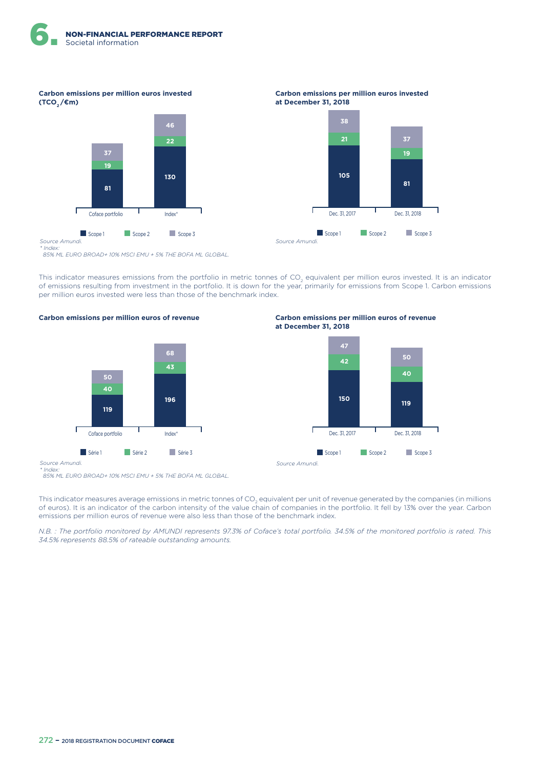**Carbon emissions per million euros invested (TCO<sup>2</sup> /€m)**



*\* Index: 85% ML EURO BROAD+ 10% MSCI EMU + 5% THE BOFA ML GLOBAL.*

This indicator measures emissions from the portfolio in metric tonnes of CO<sub>2</sub> equivalent per million euros invested. It is an indicator of emissions resulting from investment in the portfolio. It is down for the year, primarily for emissions from Scope 1. Carbon emissions per million euros invested were less than those of the benchmark index.

**Carbon emissions per million euros of revenue**







**Carbon emissions per million euros invested** 

**671 38**

**at December 31, 2018**

**Carbon emissions per million euros of revenue at December 31, 2018**



*Source Amundi. \* Index:*

 *85% ML EURO BROAD+ 10% MSCI EMU + 5% THE BOFA ML GLOBAL.*

This indicator measures average emissions in metric tonnes of CO<sub>2</sub> equivalent per unit of revenue generated by the companies (in millions of euros). It is an indicator of the carbon intensity of the value chain of companies in the portfolio. It fell by 13% over the year. Carbon emissions per million euros of revenue were also less than those of the benchmark index.

*N.B. : The portfolio monitored by AMUNDI represents 97.3% of Coface's total portfolio. 34.5% of the monitored portfolio is rated. This 34.5% represents 88.5% of rateable outstanding amounts.*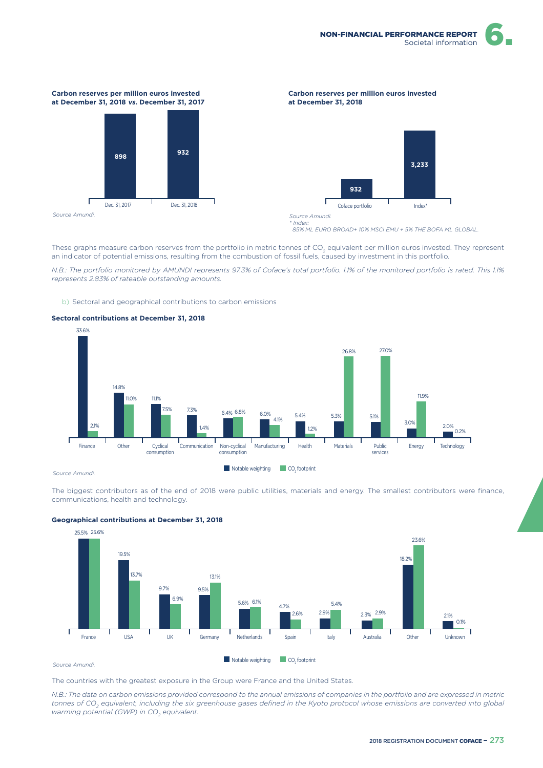

#### **Carbon reserves per million euros invested at December 31, 2018 vs. December 31, 2017**



#### **Carbon reserves per million euros invested at December 31, 2018**



*Source Amundi. \* Index:*

 *85% ML EURO BROAD+ 10% MSCI EMU + 5% THE BOFA ML GLOBAL.*

These graphs measure carbon reserves from the portfolio in metric tonnes of CO<sub>2</sub> equivalent per million euros invested. They represent an indicator of potential emissions, resulting from the combustion of fossil fuels, caused by investment in this portfolio.

*N.B.: The portfolio monitored by AMUNDI represents 97.3% of Coface's total portfolio. 1.1% of the monitored portfolio is rated. This 1.1% represents 2.83% of rateable outstanding amounts.*

b) Sectoral and geographical contributions to carbon emissions

#### **Sectoral contributions at December 31, 2018**



#### *Source Amundi.*

The biggest contributors as of the end of 2018 were public utilities, materials and energy. The smallest contributors were finance, communications, health and technology.



#### **Geographical contributions at December 31, 2018**

The countries with the greatest exposure in the Group were France and the United States.

*N.B.: The data on carbon emissions provided correspond to the annual emissions of companies in the portfolio and are expressed in metric tonnes of CO<sup>2</sup> equivalent, including the six greenhouse gases defined in the Kyoto protocol whose emissions are converted into global warming potential (GWP) in CO<sup>2</sup> equivalent.*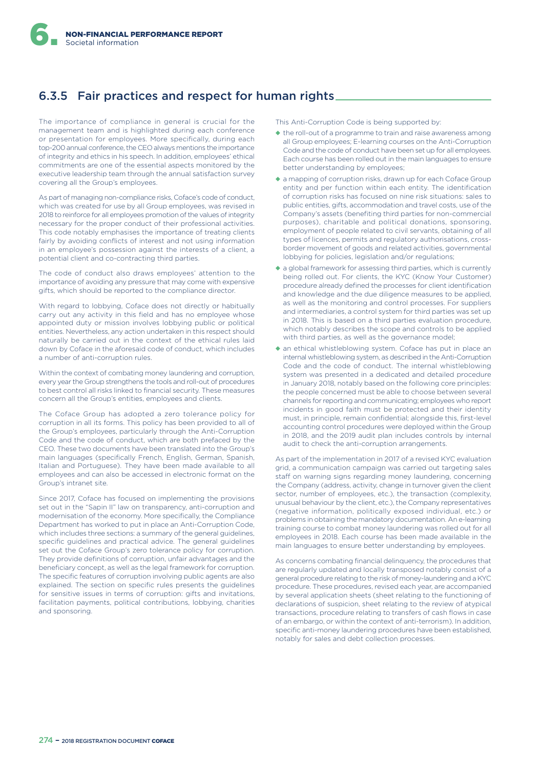# 6.3.5 Fair practices and respect for human rights

The importance of compliance in general is crucial for the management team and is highlighted during each conference or presentation for employees. More specifically, during each top-200 annual conference, the CEO always mentions the importance of integrity and ethics in his speech. In addition, employees' ethical commitments are one of the essential aspects monitored by the executive leadership team through the annual satisfaction survey covering all the Group's employees.

As part of managing non-compliance risks, Coface's code of conduct, which was created for use by all Group employees, was revised in 2018 to reinforce for all employees promotion of the values of integrity necessary for the proper conduct of their professional activities. This code notably emphasises the importance of treating clients fairly by avoiding conflicts of interest and not using information in an employee's possession against the interests of a client, a potential client and co-contracting third parties.

The code of conduct also draws employees' attention to the importance of avoiding any pressure that may come with expensive gifts, which should be reported to the compliance director.

With regard to lobbying, Coface does not directly or habitually carry out any activity in this field and has no employee whose appointed duty or mission involves lobbying public or political entities. Nevertheless, any action undertaken in this respect should naturally be carried out in the context of the ethical rules laid down by Coface in the aforesaid code of conduct, which includes a number of anti-corruption rules.

Within the context of combating money laundering and corruption, every year the Group strengthens the tools and roll-out of procedures to best control all risks linked to financial security. These measures concern all the Group's entities, employees and clients.

The Coface Group has adopted a zero tolerance policy for corruption in all its forms. This policy has been provided to all of the Group's employees, particularly through the Anti-Corruption Code and the code of conduct, which are both prefaced by the CEO. These two documents have been translated into the Group's main languages (specifically French, English, German, Spanish, Italian and Portuguese). They have been made available to all employees and can also be accessed in electronic format on the Group's intranet site.

Since 2017, Coface has focused on implementing the provisions set out in the "Sapin II" law on transparency, anti-corruption and modernisation of the economy. More specifically, the Compliance Department has worked to put in place an Anti-Corruption Code, which includes three sections: a summary of the general guidelines, specific guidelines and practical advice. The general guidelines set out the Coface Group's zero tolerance policy for corruption. They provide definitions of corruption, unfair advantages and the beneficiary concept, as well as the legal framework for corruption. The specific features of corruption involving public agents are also explained. The section on specific rules presents the guidelines for sensitive issues in terms of corruption: gifts and invitations, facilitation payments, political contributions, lobbying, charities and sponsoring.

This Anti-Corruption Code is being supported by:

- ◆ the roll-out of a programme to train and raise awareness among all Group employees; E-learning courses on the Anti-Corruption Code and the code of conduct have been set up for all employees. Each course has been rolled out in the main languages to ensure better understanding by employees;
- ◆ a mapping of corruption risks, drawn up for each Coface Group entity and per function within each entity. The identification of corruption risks has focused on nine risk situations: sales to public entities, gifts, accommodation and travel costs, use of the Company's assets (benefiting third parties for non-commercial purposes), charitable and political donations, sponsoring, employment of people related to civil servants, obtaining of all types of licences, permits and regulatory authorisations, crossborder movement of goods and related activities, governmental lobbying for policies, legislation and/or regulations;
- ◆ a global framework for assessing third parties, which is currently being rolled out. For clients, the KYC (Know Your Customer) procedure already defined the processes for client identification and knowledge and the due diligence measures to be applied, as well as the monitoring and control processes. For suppliers and intermediaries, a control system for third parties was set up in 2018. This is based on a third parties evaluation procedure, which notably describes the scope and controls to be applied with third parties, as well as the governance model;
- ◆ an ethical whistleblowing system. Coface has put in place an internal whistleblowing system, as described in the Anti-Corruption Code and the code of conduct. The internal whistleblowing system was presented in a dedicated and detailed procedure in January 2018, notably based on the following core principles: the people concerned must be able to choose between several channels for reporting and communicating; employees who report incidents in good faith must be protected and their identity must, in principle, remain confidential; alongside this, first-level accounting control procedures were deployed within the Group in 2018, and the 2019 audit plan includes controls by internal audit to check the anti-corruption arrangements.

As part of the implementation in 2017 of a revised KYC evaluation grid, a communication campaign was carried out targeting sales staff on warning signs regarding money laundering, concerning the Company (address, activity, change in turnover given the client sector, number of employees, etc.), the transaction (complexity, unusual behaviour by the client, etc.), the Company representatives (negative information, politically exposed individual, etc.) or problems in obtaining the mandatory documentation. An e-learning training course to combat money laundering was rolled out for all employees in 2018. Each course has been made available in the main languages to ensure better understanding by employees.

As concerns combating financial delinquency, the procedures that are regularly updated and locally transposed notably consist of a general procedure relating to the risk of money-laundering and a KYC procedure. These procedures, revised each year, are accompanied by several application sheets (sheet relating to the functioning of declarations of suspicion, sheet relating to the review of atypical transactions, procedure relating to transfers of cash flows in case of an embargo, or within the context of anti-terrorism). In addition, specific anti-money laundering procedures have been established, notably for sales and debt collection processes.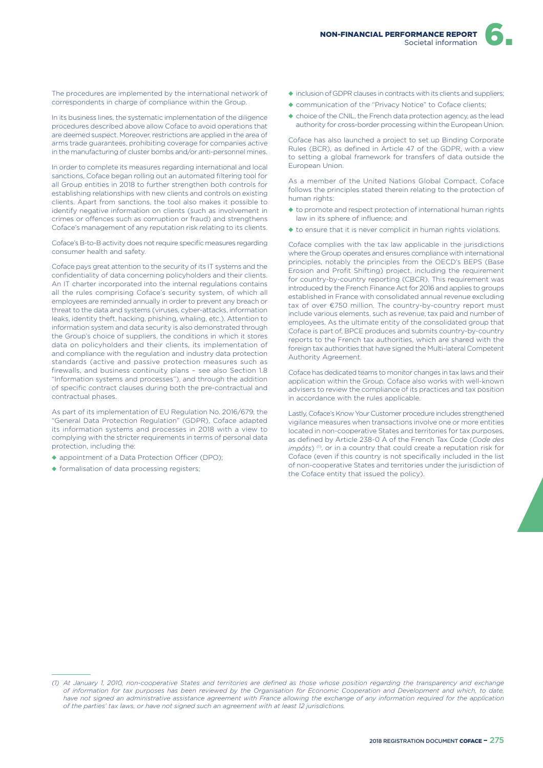

The procedures are implemented by the international network of correspondents in charge of compliance within the Group.

In its business lines, the systematic implementation of the diligence procedures described above allow Coface to avoid operations that are deemed suspect. Moreover, restrictions are applied in the area of arms trade guarantees, prohibiting coverage for companies active in the manufacturing of cluster bombs and/or anti-personnel mines.

In order to complete its measures regarding international and local sanctions, Coface began rolling out an automated filtering tool for all Group entities in 2018 to further strengthen both controls for establishing relationships with new clients and controls on existing clients. Apart from sanctions, the tool also makes it possible to identify negative information on clients (such as involvement in crimes or ofences such as corruption or fraud) and strengthens Coface's management of any reputation risk relating to its clients.

Coface's B-to-B activity does not require specific measures regarding consumer health and safety.

Coface pays great attention to the security of its IT systems and the confidentiality of data concerning policyholders and their clients. An IT charter incorporated into the internal regulations contains all the rules comprising Coface's security system, of which all employees are reminded annually in order to prevent any breach or threat to the data and systems (viruses, cyber-attacks, information leaks, identity theft, hacking, phishing, whaling, etc.). Attention to information system and data security is also demonstrated through the Group's choice of suppliers, the conditions in which it stores data on policyholders and their clients, its implementation of and compliance with the regulation and industry data protection standards (active and passive protection measures such as firewalls, and business continuity plans – see also Section 1.8 "Information systems and processes"), and through the addition of specific contract clauses during both the pre-contractual and contractual phases.

As part of its implementation of EU Regulation No. 2016/679, the "General Data Protection Regulation" (GDPR), Coface adapted its information systems and processes in 2018 with a view to complying with the stricter requirements in terms of personal data protection, including the:

- ◆ appointment of a Data Protection Officer (DPO);
- ◆ formalisation of data processing registers;
- ◆ inclusion of GDPR clauses in contracts with its clients and suppliers;
- ◆ communication of the "Privacy Notice" to Coface clients;
- ◆ choice of the CNIL, the French data protection agency, as the lead authority for cross-border processing within the European Union.

Coface has also launched a project to set up Binding Corporate Rules (BCR), as defined in Article 47 of the GDPR, with a view to setting a global framework for transfers of data outside the European Union.

As a member of the United Nations Global Compact, Coface follows the principles stated therein relating to the protection of human rights:

- ◆ to promote and respect protection of international human rights law in its sphere of influence; and
- ◆ to ensure that it is never complicit in human rights violations.

Coface complies with the tax law applicable in the jurisdictions where the Group operates and ensures compliance with international principles, notably the principles from the OECD's BEPS (Base Erosion and Profit Shifting) project, including the requirement for country-by-country reporting (CBCR). This requirement was introduced by the French Finance Act for 2016 and applies to groups established in France with consolidated annual revenue excluding tax of over €750 million. The country-by-country report must include various elements, such as revenue, tax paid and number of employees. As the ultimate entity of the consolidated group that Coface is part of, BPCE produces and submits country-by-country reports to the French tax authorities, which are shared with the foreign tax authorities that have signed the Multi-lateral Competent Authority Agreement.

Coface has dedicated teams to monitor changes in tax laws and their application within the Group. Coface also works with well-known advisers to review the compliance of its practices and tax position in accordance with the rules applicable.

Lastly, Coface's Know Your Customer procedure includes strengthened vigilance measures when transactions involve one or more entities located in non-cooperative States and territories for tax purposes, as defined by Article 238-0 A of the French Tax Code (*Code des impôts*)<sup>(1)</sup>, or in a country that could create a reputation risk for Coface (even if this country is not specifically included in the list of non-cooperative States and territories under the jurisdiction of the Coface entity that issued the policy).

*<sup>(1)</sup> At January 1, 2010, non-cooperative States and territories are defined as those whose position regarding the transparency and exchange of information for tax purposes has been reviewed by the Organisation for Economic Cooperation and Development and which, to date,*  have not signed an administrative assistance agreement with France allowing the exchange of any information required for the application *of the parties' tax laws, or have not signed such an agreement with at least 12 jurisdictions.*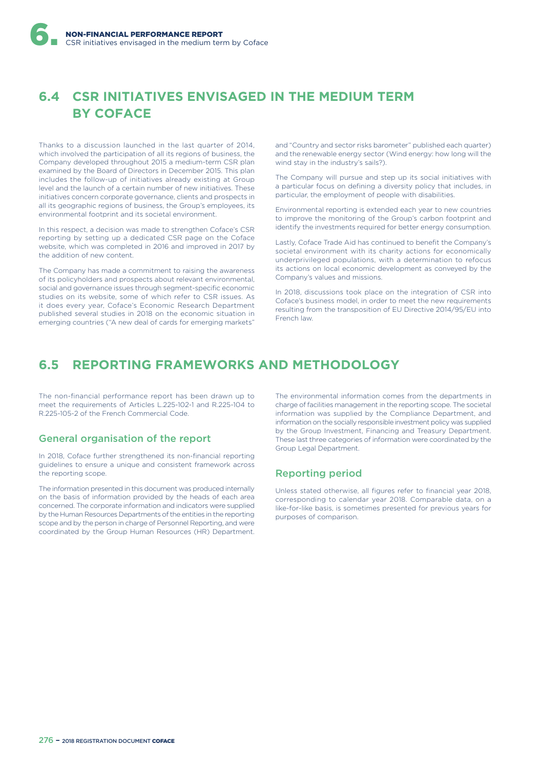# **6.4 CSR INITIATIVES ENVISAGED IN THE MEDIUM TERM BY COFACE**

Thanks to a discussion launched in the last quarter of 2014, which involved the participation of all its regions of business, the Company developed throughout 2015 a medium-term CSR plan examined by the Board of Directors in December 2015. This plan includes the follow-up of initiatives already existing at Group level and the launch of a certain number of new initiatives. These initiatives concern corporate governance, clients and prospects in all its geographic regions of business, the Group's employees, its environmental footprint and its societal environment.

In this respect, a decision was made to strengthen Coface's CSR reporting by setting up a dedicated CSR page on the Coface website, which was completed in 2016 and improved in 2017 by the addition of new content.

The Company has made a commitment to raising the awareness of its policyholders and prospects about relevant environmental, social and governance issues through segment-specific economic studies on its website, some of which refer to CSR issues. As it does every year, Coface's Economic Research Department published several studies in 2018 on the economic situation in emerging countries ("A new deal of cards for emerging markets"

and "Country and sector risks barometer" published each quarter) and the renewable energy sector (Wind energy: how long will the wind stay in the industry's sails?).

The Company will pursue and step up its social initiatives with a particular focus on defining a diversity policy that includes, in particular, the employment of people with disabilities.

Environmental reporting is extended each year to new countries to improve the monitoring of the Group's carbon footprint and identify the investments required for better energy consumption.

Lastly, Coface Trade Aid has continued to benefit the Company's societal environment with its charity actions for economically underprivileged populations, with a determination to refocus its actions on local economic development as conveyed by the Company's values and missions.

In 2018, discussions took place on the integration of CSR into Coface's business model, in order to meet the new requirements resulting from the transposition of EU Directive 2014/95/EU into French law.

# **6.5 REPORTING FRAMEWORKS AND METHODOLOGY**

The non-financial performance report has been drawn up to meet the requirements of Articles L.225-102-1 and R.225-104 to R.225-105-2 of the French Commercial Code.

# General organisation of the report

In 2018, Coface further strengthened its non-financial reporting guidelines to ensure a unique and consistent framework across the reporting scope.

The information presented in this document was produced internally on the basis of information provided by the heads of each area concerned. The corporate information and indicators were supplied by the Human Resources Departments of the entities in the reporting scope and by the person in charge of Personnel Reporting, and were coordinated by the Group Human Resources (HR) Department.

The environmental information comes from the departments in charge of facilities management in the reporting scope. The societal information was supplied by the Compliance Department, and information on the socially responsible investment policy was supplied by the Group Investment, Financing and Treasury Department. These last three categories of information were coordinated by the Group Legal Department.

# Reporting period

Unless stated otherwise, all figures refer to financial year 2018, corresponding to calendar year 2018. Comparable data, on a like-for-like basis, is sometimes presented for previous years for purposes of comparison.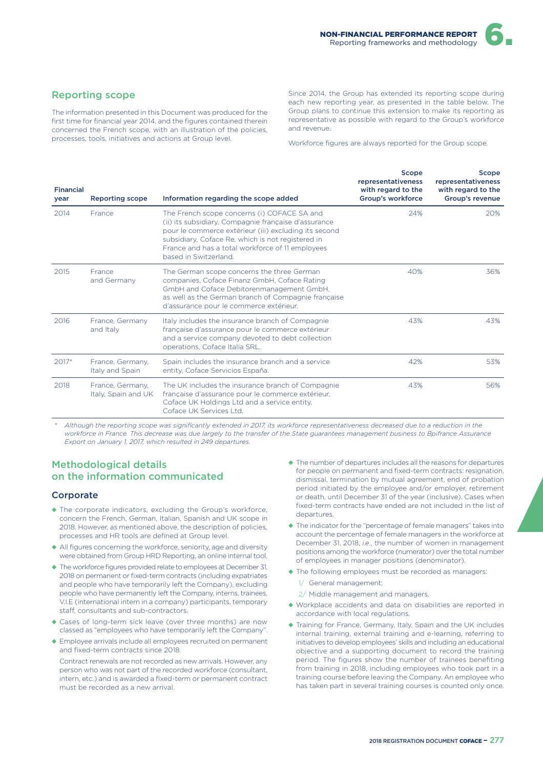## Reporting scope

The information presented in this Document was produced for the first time for financial year 2014, and the figures contained therein concerned the French scope, with an illustration of the policies, processes, tools, initiatives and actions at Group level.

Since 2014, the Group has extended its reporting scope during each new reporting year, as presented in the table below. The Group plans to continue this extension to make its reporting as representative as possible with regard to the Group's workforce and revenue.

Workforce figures are always reported for the Group scope.

| <b>Financial</b><br>year | <b>Reporting scope</b>                  | Information regarding the scope added                                                                                                                                                                                                                                                          | Scope<br>representativeness<br>with regard to the<br>Group's workforce | Scope<br>representativeness<br>with regard to the<br>Group's revenue |
|--------------------------|-----------------------------------------|------------------------------------------------------------------------------------------------------------------------------------------------------------------------------------------------------------------------------------------------------------------------------------------------|------------------------------------------------------------------------|----------------------------------------------------------------------|
| 2014                     | France                                  | The French scope concerns (i) COFACE SA and<br>(ii) its subsidiary, Compagnie française d'assurance<br>pour le commerce extérieur (iii) excluding its second<br>subsidiary, Coface Re, which is not registered in<br>France and has a total workforce of 11 employees<br>based in Switzerland. | 24%                                                                    | 20%                                                                  |
| 2015                     | France<br>and Germany                   | The German scope concerns the three German<br>companies, Coface Finanz GmbH, Coface Rating<br>GmbH and Coface Debitorenmanagement GmbH,<br>as well as the German branch of Compagnie française<br>d'assurance pour le commerce extérieur.                                                      | 40%                                                                    | 36%                                                                  |
| 2016                     | France, Germany<br>and Italy            | Italy includes the insurance branch of Compagnie<br>française d'assurance pour le commerce extérieur<br>and a service company devoted to debt collection<br>operations, Coface Italia SRL.                                                                                                     | 43%                                                                    | 43%                                                                  |
| $2017*$                  | France, Germany,<br>Italy and Spain     | Spain includes the insurance branch and a service<br>entity, Coface Servicios España.                                                                                                                                                                                                          | 42%                                                                    | 53%                                                                  |
| 2018                     | France, Germany,<br>Italy, Spain and UK | The UK includes the insurance branch of Compagnie<br>française d'assurance pour le commerce extérieur,<br>Coface UK Holdings Ltd and a service entity,<br>Coface UK Services Ltd.                                                                                                              | 43%                                                                    | 56%                                                                  |

*\* Although the reporting scope was significantly extended in 2017, its workforce representativeness decreased due to a reduction in the workforce in France. This decrease was due largely to the transfer of the State guarantees management business to Bpifrance Assurance Export on January 1, 2017, which resulted in 249 departures.*

# Methodological details on the information communicated

#### **Corporate**

- ◆ The corporate indicators, excluding the Group's workforce, concern the French, German, Italian, Spanish and UK scope in 2018. However, as mentioned above, the description of policies, processes and HR tools are defined at Group level.
- ◆ All figures concerning the workforce, seniority, age and diversity were obtained from Group HRD Reporting, an online internal tool.
- ◆ The workforce figures provided relate to employees at December 31, 2018 on permanent or fixed-term contracts (including expatriates and people who have temporarily left the Company), excluding people who have permanently left the Company, interns, trainees, V.I.E (international intern in a company) participants, temporary staff, consultants and sub-contractors.
- ◆ Cases of long-term sick leave (over three months) are now classed as "employees who have temporarily left the Company".
- ◆ Employee arrivals include all employees recruited on permanent and fixed-term contracts since 2018.

Contract renewals are not recorded as new arrivals. However, any person who was not part of the recorded workforce (consultant, intern, etc.) and is awarded a fixed-term or permanent contract must be recorded as a new arrival.

- ◆ The number of departures includes all the reasons for departures for people on permanent and fixed-term contracts: resignation, dismissal, termination by mutual agreement, end of probation period initiated by the employee and/or employer, retirement or death, until December 31 of the year (inclusive). Cases when fixed-term contracts have ended are not included in the list of departures.
- ◆ The indicator for the "percentage of female managers" takes into account the percentage of female managers in the workforce at December 31, 2018, *i.e*., the number of women in management positions among the workforce (numerator) over the total number of employees in manager positions (denominator).
- ◆ The following employees must be recorded as managers:
	- 1/ General management;
	- 2/ Middle management and managers.
- ◆ Workplace accidents and data on disabilities are reported in accordance with local regulations.
- ◆ Training for France, Germany, Italy, Spain and the UK includes internal training, external training and e-learning, referring to initiatives to develop employees' skills and including an educational objective and a supporting document to record the training period. The figures show the number of trainees benefiting from training in 2018, including employees who took part in a training course before leaving the Company. An employee who has taken part in several training courses is counted only once.